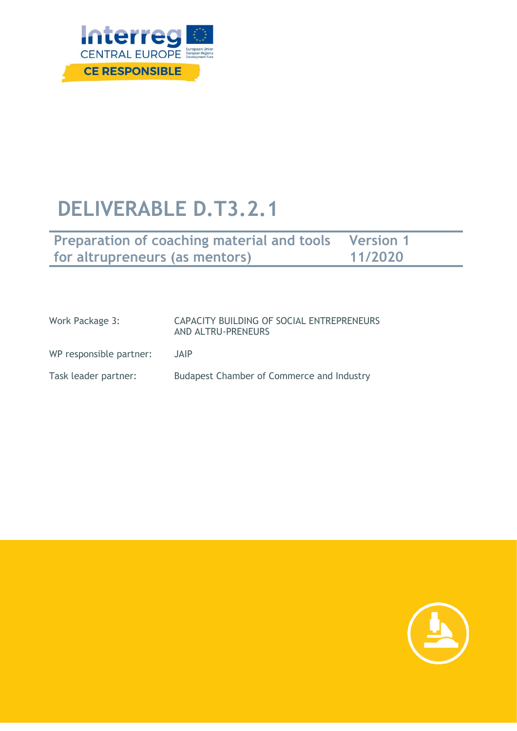

# **DELIVERABLE D.T3.2.1**

| <b>Preparation of coaching material and tools Version 1</b> |         |
|-------------------------------------------------------------|---------|
| for altrupreneurs (as mentors)                              | 11/2020 |

| Work Package 3:         | CAPACITY BUILDING OF SOCIAL ENTREPRENEURS<br>AND ALTRU-PRENEURS |
|-------------------------|-----------------------------------------------------------------|
| WP responsible partner: | <b>JAIP</b>                                                     |
| Task leader partner:    | <b>Budapest Chamber of Commerce and Industry</b>                |

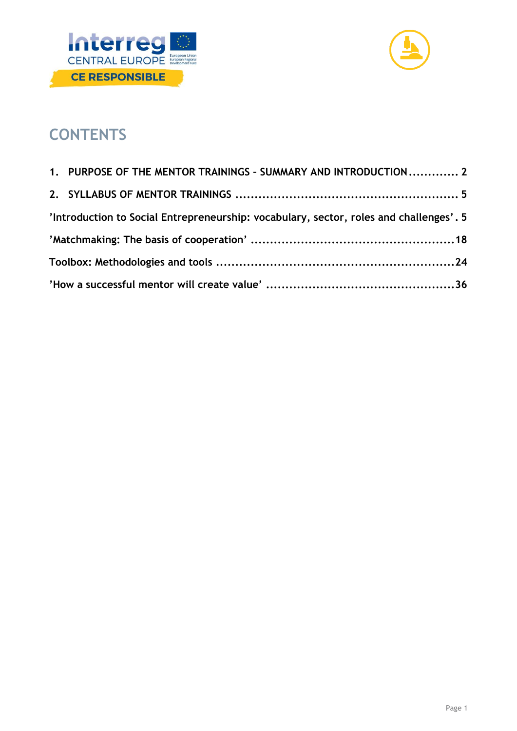



# **CONTENTS**

| 1. PURPOSE OF THE MENTOR TRAININGS - SUMMARY AND INTRODUCTION 2                        |  |
|----------------------------------------------------------------------------------------|--|
|                                                                                        |  |
| 'Introduction to Social Entrepreneurship: vocabulary, sector, roles and challenges'. 5 |  |
|                                                                                        |  |
|                                                                                        |  |
|                                                                                        |  |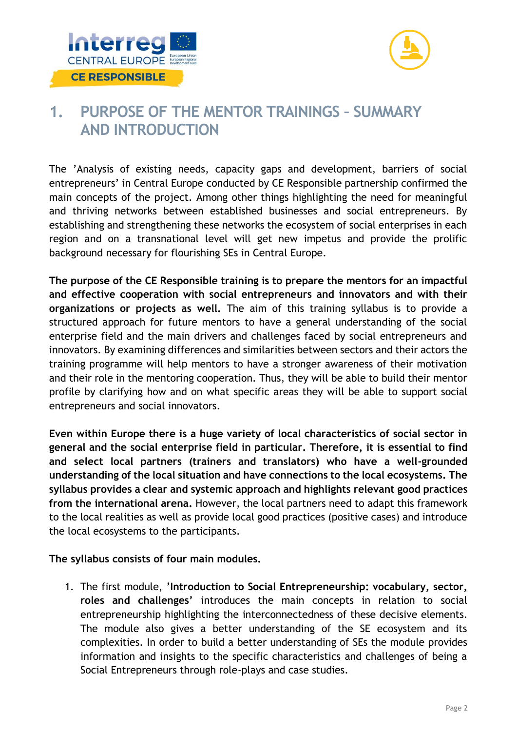



# <span id="page-2-0"></span>**1. PURPOSE OF THE MENTOR TRAININGS – SUMMARY AND INTRODUCTION**

The 'Analysis of existing needs, capacity gaps and development, barriers of social entrepreneurs' in Central Europe conducted by CE Responsible partnership confirmed the main concepts of the project. Among other things highlighting the need for meaningful and thriving networks between established businesses and social entrepreneurs. By establishing and strengthening these networks the ecosystem of social enterprises in each region and on a transnational level will get new impetus and provide the prolific background necessary for flourishing SEs in Central Europe.

**The purpose of the CE Responsible training is to prepare the mentors for an impactful and effective cooperation with social entrepreneurs and innovators and with their organizations or projects as well.** The aim of this training syllabus is to provide a structured approach for future mentors to have a general understanding of the social enterprise field and the main drivers and challenges faced by social entrepreneurs and innovators. By examining differences and similarities between sectors and their actors the training programme will help mentors to have a stronger awareness of their motivation and their role in the mentoring cooperation. Thus, they will be able to build their mentor profile by clarifying how and on what specific areas they will be able to support social entrepreneurs and social innovators.

**Even within Europe there is a huge variety of local characteristics of social sector in general and the social enterprise field in particular. Therefore, it is essential to find and select local partners (trainers and translators) who have a well-grounded understanding of the local situation and have connections to the local ecosystems. The syllabus provides a clear and systemic approach and highlights relevant good practices from the international arena.** However, the local partners need to adapt this framework to the local realities as well as provide local good practices (positive cases) and introduce the local ecosystems to the participants.

# **The syllabus consists of four main modules.**

1. The first module, **'Introduction to Social Entrepreneurship: vocabulary, sector, roles and challenges'** introduces the main concepts in relation to social entrepreneurship highlighting the interconnectedness of these decisive elements. The module also gives a better understanding of the SE ecosystem and its complexities. In order to build a better understanding of SEs the module provides information and insights to the specific characteristics and challenges of being a Social Entrepreneurs through role-plays and case studies.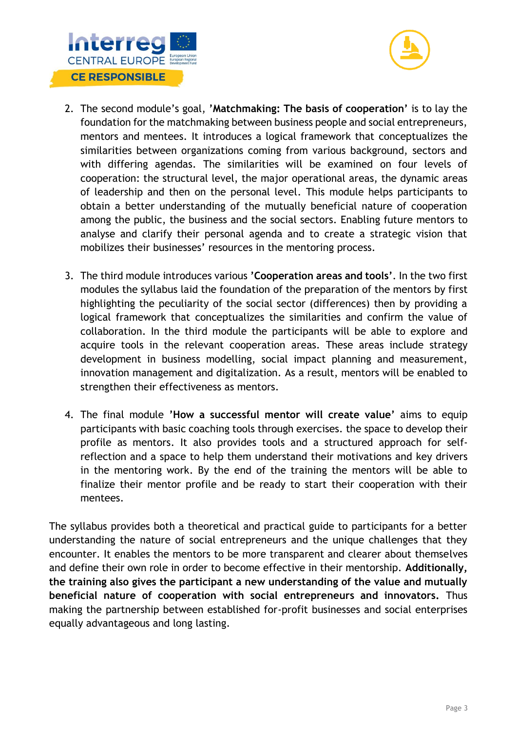



- 2. The second module's goal, **'Matchmaking: The basis of cooperation'** is to lay the foundation for the matchmaking between business people and social entrepreneurs, mentors and mentees. It introduces a logical framework that conceptualizes the similarities between organizations coming from various background, sectors and with differing agendas. The similarities will be examined on four levels of cooperation: the structural level, the major operational areas, the dynamic areas of leadership and then on the personal level. This module helps participants to obtain a better understanding of the mutually beneficial nature of cooperation among the public, the business and the social sectors. Enabling future mentors to analyse and clarify their personal agenda and to create a strategic vision that mobilizes their businesses' resources in the mentoring process.
- 3. The third module introduces various **'Cooperation areas and tools'**. In the two first modules the syllabus laid the foundation of the preparation of the mentors by first highlighting the peculiarity of the social sector (differences) then by providing a logical framework that conceptualizes the similarities and confirm the value of collaboration. In the third module the participants will be able to explore and acquire tools in the relevant cooperation areas. These areas include strategy development in business modelling, social impact planning and measurement, innovation management and digitalization. As a result, mentors will be enabled to strengthen their effectiveness as mentors.
- 4. The final module **'How a successful mentor will create value'** aims to equip participants with basic coaching tools through exercises. the space to develop their profile as mentors. It also provides tools and a structured approach for selfreflection and a space to help them understand their motivations and key drivers in the mentoring work. By the end of the training the mentors will be able to finalize their mentor profile and be ready to start their cooperation with their mentees.

The syllabus provides both a theoretical and practical guide to participants for a better understanding the nature of social entrepreneurs and the unique challenges that they encounter. It enables the mentors to be more transparent and clearer about themselves and define their own role in order to become effective in their mentorship. **Additionally, the training also gives the participant a new understanding of the value and mutually beneficial nature of cooperation with social entrepreneurs and innovators.** Thus making the partnership between established for-profit businesses and social enterprises equally advantageous and long lasting.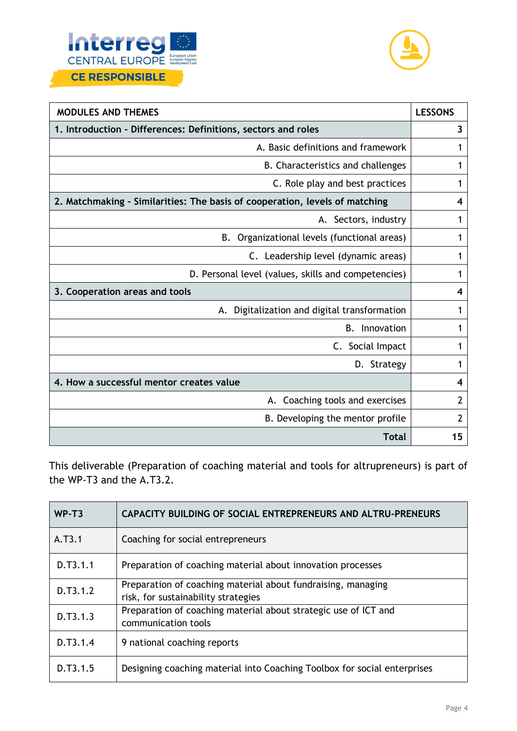



| <b>MODULES AND THEMES</b>                                                   | <b>LESSONS</b>          |
|-----------------------------------------------------------------------------|-------------------------|
| 1. Introduction - Differences: Definitions, sectors and roles               | $\overline{\mathbf{3}}$ |
| A. Basic definitions and framework                                          | 1                       |
| B. Characteristics and challenges                                           | 1                       |
| C. Role play and best practices                                             | 1                       |
| 2. Matchmaking - Similarities: The basis of cooperation, levels of matching | 4                       |
| A. Sectors, industry                                                        | 1                       |
| B. Organizational levels (functional areas)                                 | 1                       |
| C. Leadership level (dynamic areas)                                         | 1                       |
| D. Personal level (values, skills and competencies)                         |                         |
| 3. Cooperation areas and tools                                              | 4                       |
| Digitalization and digital transformation<br>А.                             | 1                       |
| <b>B.</b><br>Innovation                                                     | 1                       |
| C. Social Impact                                                            | 1                       |
| D. Strategy                                                                 | 1                       |
| 4. How a successful mentor creates value                                    | 4                       |
| A. Coaching tools and exercises                                             | $\overline{2}$          |
| B. Developing the mentor profile                                            | 2                       |
| <b>Total</b>                                                                | 15                      |

This deliverable (Preparation of coaching material and tools for altrupreneurs) is part of the WP-T3 and the A.T3.2.

| WP-T <sub>3</sub> | <b>CAPACITY BUILDING OF SOCIAL ENTREPRENEURS AND ALTRU-PRENEURS</b>                                 |
|-------------------|-----------------------------------------------------------------------------------------------------|
| A.T3.1            | Coaching for social entrepreneurs                                                                   |
| D.T3.1.1          | Preparation of coaching material about innovation processes                                         |
| D.T3.1.2          | Preparation of coaching material about fundraising, managing<br>risk, for sustainability strategies |
| D.T3.1.3          | Preparation of coaching material about strategic use of ICT and<br>communication tools              |
| D.T3.1.4          | 9 national coaching reports                                                                         |
| D.T3.1.5          | Designing coaching material into Coaching Toolbox for social enterprises                            |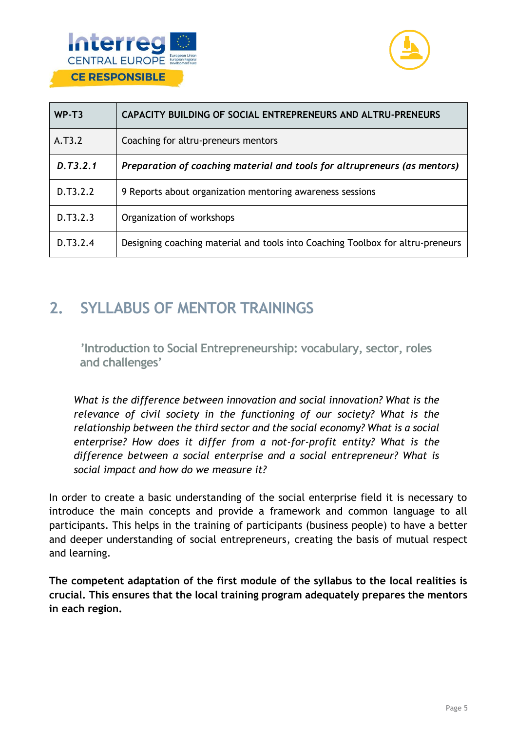



| WP-T3    | CAPACITY BUILDING OF SOCIAL ENTREPRENEURS AND ALTRU-PRENEURS                   |
|----------|--------------------------------------------------------------------------------|
| A.T3.2   | Coaching for altru-preneurs mentors                                            |
| D.T3.2.1 | Preparation of coaching material and tools for altrupreneurs (as mentors)      |
| D.T3.2.2 | 9 Reports about organization mentoring awareness sessions                      |
| D.T3.2.3 | Organization of workshops                                                      |
| D.T3.2.4 | Designing coaching material and tools into Coaching Toolbox for altru-preneurs |

# <span id="page-5-0"></span>**2. SYLLABUS OF MENTOR TRAININGS**

<span id="page-5-1"></span>**'Introduction to Social Entrepreneurship: vocabulary, sector, roles and challenges'**

*What is the difference between innovation and social innovation? What is the relevance of civil society in the functioning of our society? What is the relationship between the third sector and the social economy? What is a social enterprise? How does it differ from a not-for-profit entity? What is the difference between a social enterprise and a social entrepreneur? What is social impact and how do we measure it?* 

In order to create a basic understanding of the social enterprise field it is necessary to introduce the main concepts and provide a framework and common language to all participants. This helps in the training of participants (business people) to have a better and deeper understanding of social entrepreneurs, creating the basis of mutual respect and learning.

**The competent adaptation of the first module of the syllabus to the local realities is crucial. This ensures that the local training program adequately prepares the mentors in each region.**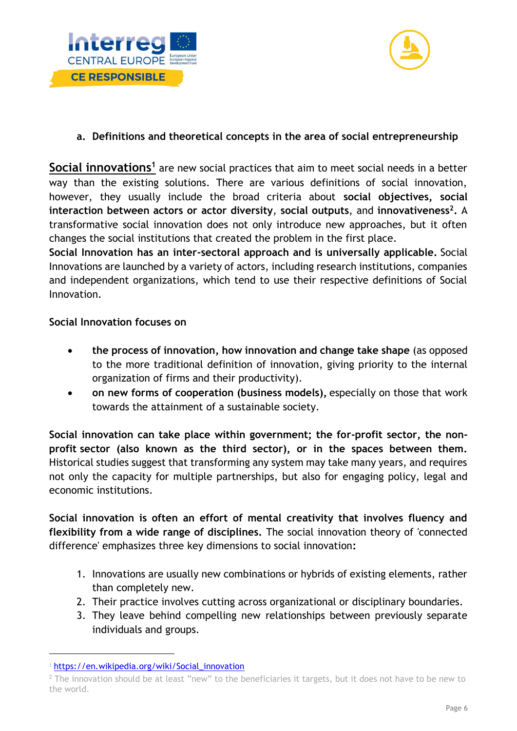



# **a. Definitions and theoretical concepts in the area of social entrepreneurship**

Social innovations<sup>1</sup> are new social practices that aim to meet social needs in a better way than the existing solutions. There are various definitions of social innovation, however, they usually include the broad criteria about **social objectives, social interaction between actors or actor diversity**, **social outputs**, and **innovativeness<sup>2</sup> .** A transformative social innovation does not only introduce new approaches, but it often changes the social institutions that created the problem in the first place.

**Social Innovation has an inter-sectoral approach and is universally applicable.** Social Innovations are launched by a variety of actors, including research institutions, companies and independent organizations, which tend to use their respective definitions of Social Innovation.

#### **Social Innovation focuses on**

- **the process of innovation, how innovation and change take shape** (as opposed to the more traditional definition of innovation, giving priority to the internal organization of firms and their productivity).
- **on new forms of cooperation (business models),** especially on those that work towards the attainment of a sustainable society.

**Social innovation can take place within government; the for-profit sector, the nonprofit sector (also known as the third sector), or in the spaces between them.**  Historical studies suggest that transforming any system may take many years, and requires not only the capacity for multiple partnerships, but also for engaging policy, legal and economic institutions.

**Social innovation is often an effort of mental creativity that involves fluency and flexibility from a wide range of disciplines.** The social innovation theory of 'connected difference' emphasizes three key dimensions to social innovation**:** 

- 1. Innovations are usually new combinations or hybrids of existing elements, rather than completely new.
- 2. Their practice involves cutting across organizational or disciplinary boundaries.
- 3. They leave behind compelling new relationships between previously separate individuals and groups.

<sup>1</sup> [https://en.wikipedia.org/wiki/Social\\_innovation](https://en.wikipedia.org/wiki/Social_innovation)

<sup>&</sup>lt;sup>2</sup> The innovation should be at least "new" to the beneficiaries it targets, but it does not have to be new to the world.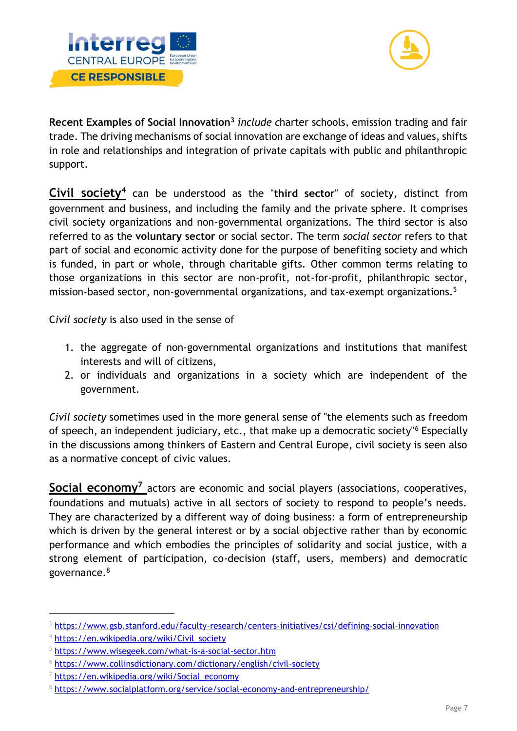



**Recent Examples of Social Innovation<sup>3</sup>** *include c*harter schools, emission trading and fair trade. The driving mechanisms of social innovation are exchange of ideas and values, shifts in role and relationships and integration of private capitals with public and philanthropic support.

**Civil society<sup>4</sup>** can be understood as the "**third sector**" of society, distinct from government and business, and including the family and the private sphere. It comprises civil society organizations and non-governmental organizations. The third sector is also referred to as the **voluntary sector** or social sector. The term *social sector* refers to that part of social and economic activity done for the purpose of benefiting society and which is funded, in part or whole, through charitable gifts. Other common terms relating to those organizations in this sector are non-profit, not-for-profit, philanthropic sector, mission-based sector, non-governmental organizations, and tax-exempt organizations.<sup>5</sup>

C*ivil society* is also used in the sense of

- 1. the aggregate of non-governmental organizations and institutions that manifest interests and will of citizens,
- 2. or individuals and organizations in a society which are independent of the government.

*Civil society* sometimes used in the more general sense of "the elements such as freedom of speech, an independent judiciary, etc., that make up a democratic society"<sup>6</sup> Especially in the discussions among thinkers of Eastern and Central Europe, civil society is seen also as a normative concept of civic values.

Social economy<sup>7</sup> actors are economic and social players (associations, cooperatives, foundations and mutuals) active in all sectors of society to respond to people's needs. They are characterized by a different way of doing business: a form of entrepreneurship which is driven by the general interest or by a social objective rather than by economic performance and which embodies the principles of solidarity and social justice, with a strong element of participation, co-decision (staff, users, members) and democratic governance.<sup>8</sup>

<sup>3</sup> <https://www.gsb.stanford.edu/faculty-research/centers-initiatives/csi/defining-social-innovation>

<sup>4</sup> [https://en.wikipedia.org/wiki/Civil\\_society](https://en.wikipedia.org/wiki/Civil_society)

<sup>5</sup> <https://www.wisegeek.com/what-is-a-social-sector.htm>

<sup>&</sup>lt;sup>6</sup> <https://www.collinsdictionary.com/dictionary/english/civil-society>

<sup>7</sup> [https://en.wikipedia.org/wiki/Social\\_economy](https://en.wikipedia.org/wiki/Social_economy)

<sup>8</sup> <https://www.socialplatform.org/service/social-economy-and-entrepreneurship/>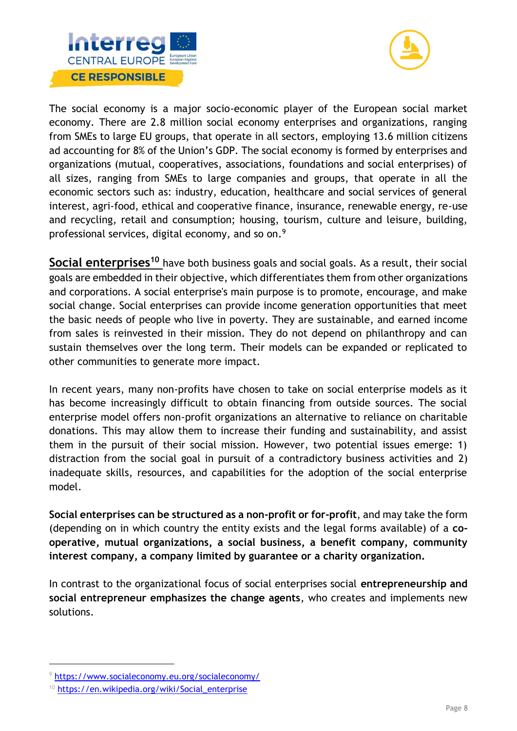



The social economy is a major socio-economic player of the European social market economy. There are 2.8 million social economy enterprises and organizations, ranging from SMEs to large EU groups, that operate in all sectors, employing 13.6 million citizens ad accounting for 8% of the Union's GDP. The social economy is formed by enterprises and organizations (mutual, cooperatives, associations, foundations and social enterprises) of all sizes, ranging from SMEs to large companies and groups, that operate in all the economic sectors such as: industry, education, healthcare and social services of general interest, agri-food, ethical and cooperative finance, insurance, renewable energy, re-use and recycling, retail and consumption; housing, tourism, culture and leisure, building, professional services, digital economy, and so on.<sup>9</sup>

**Social enterprises<sup>10</sup>** have both business goals and social goals. As a result, their social goals are embedded in their objective, which differentiates them from other organizations and corporations. A social enterprise's main purpose is to promote, encourage, and make social change. Social enterprises can provide income generation opportunities that meet the basic needs of people who live in poverty. They are sustainable, and earned income from sales is reinvested in their mission. They do not depend on philanthropy and can sustain themselves over the long term. Their models can be expanded or replicated to other communities to generate more impact.

In recent years, many non-profits have chosen to take on social enterprise models as it has become increasingly difficult to obtain financing from outside sources. The social enterprise model offers non-profit organizations an alternative to reliance on charitable donations. This may allow them to increase their funding and sustainability, and assist them in the pursuit of their social mission. However, two potential issues emerge: 1) distraction from the social goal in pursuit of a contradictory business activities and 2) inadequate skills, resources, and capabilities for the adoption of the social enterprise model.

**Social enterprises can be structured as a non-profit or for-profit**, and may take the form (depending on in which country the entity exists and the legal forms available) of a **cooperative, mutual organizations, a social business, a benefit company, community interest company, a company limited by guarantee or a charity organization.** 

In contrast to the organizational focus of social enterprises social **entrepreneurship and social entrepreneur emphasizes the change agents**, who creates and implements new solutions.

<sup>9</sup> <https://www.socialeconomy.eu.org/socialeconomy/>

<sup>&</sup>lt;sup>10</sup> [https://en.wikipedia.org/wiki/Social\\_enterprise](https://en.wikipedia.org/wiki/Social_enterprise)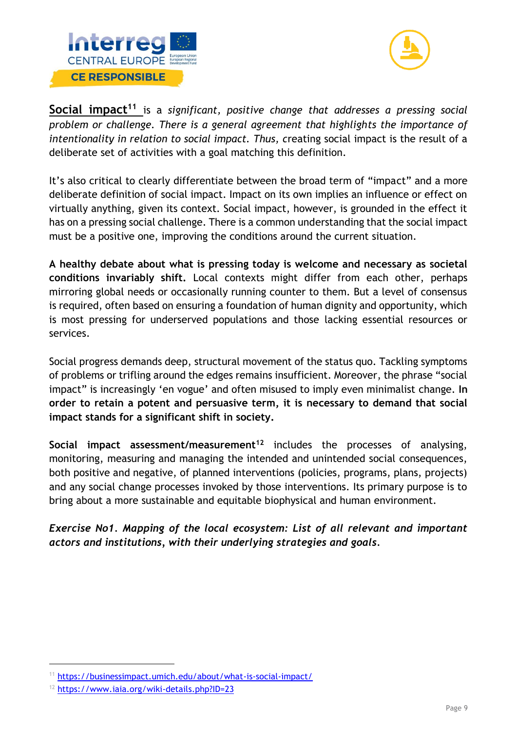



**Social impact<sup>11</sup>** is a *significant, positive change that addresses a pressing social problem or challenge. There is a general agreement that highlights the importance of intentionality in relation to social impact. Thus, c*reating social impact is the result of a deliberate set of activities with a goal matching this definition.

It's also critical to clearly differentiate between the broad term of "impact" and a more deliberate definition of social impact. Impact on its own implies an influence or effect on virtually anything, given its context. Social impact, however, is grounded in the effect it has on a pressing social challenge. There is a common understanding that the social impact must be a positive one, improving the conditions around the current situation.

**A healthy debate about what is pressing today is welcome and necessary as societal conditions invariably shift.** Local contexts might differ from each other, perhaps mirroring global needs or occasionally running counter to them. But a level of consensus is required, often based on ensuring a foundation of human dignity and opportunity, which is most pressing for underserved populations and those lacking essential resources or services.

Social progress demands deep, structural movement of the status quo. Tackling symptoms of problems or trifling around the edges remains insufficient. Moreover, the phrase "social impact" is increasingly 'en vogue' and often misused to imply even minimalist change. **In order to retain a potent and persuasive term, it is necessary to demand that social impact stands for a significant shift in society.**

**Social impact assessment/measurement<sup>12</sup>** includes the processes of analysing, monitoring, measuring and managing the intended and unintended social consequences, both positive and negative, of planned interventions (policies, programs, plans, projects) and any social change processes invoked by those interventions. Its primary purpose is to bring about a more sustainable and equitable biophysical and human environment.

*Exercise No1. Mapping of the local ecosystem: List of all relevant and important actors and institutions, with their underlying strategies and goals.* 

<sup>11</sup> <https://businessimpact.umich.edu/about/what-is-social-impact/>

<sup>12</sup> <https://www.iaia.org/wiki-details.php?ID=23>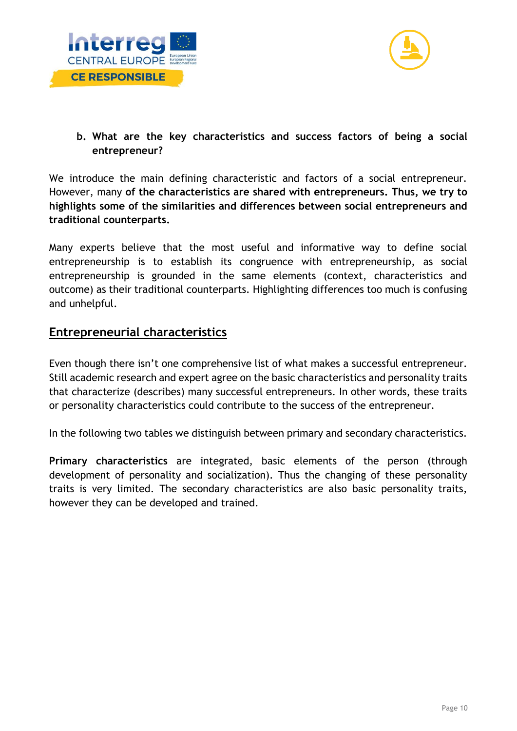



**b. What are the key characteristics and success factors of being a social entrepreneur?** 

We introduce the main defining characteristic and factors of a social entrepreneur. However, many **of the characteristics are shared with entrepreneurs. Thus, we try to highlights some of the similarities and differences between social entrepreneurs and traditional counterparts.** 

Many experts believe that the most useful and informative way to define social entrepreneurship is to establish its congruence with entrepreneurship, as social entrepreneurship is grounded in the same elements (context, characteristics and outcome) as their traditional counterparts. Highlighting differences too much is confusing and unhelpful.

# **Entrepreneurial characteristics**

Even though there isn't one comprehensive list of what makes a successful entrepreneur. Still academic research and expert agree on the basic characteristics and personality traits that characterize (describes) many successful entrepreneurs. In other words, these traits or personality characteristics could contribute to the success of the entrepreneur.

In the following two tables we distinguish between primary and secondary characteristics.

**Primary characteristics** are integrated, basic elements of the person (through development of personality and socialization). Thus the changing of these personality traits is very limited. The secondary characteristics are also basic personality traits, however they can be developed and trained.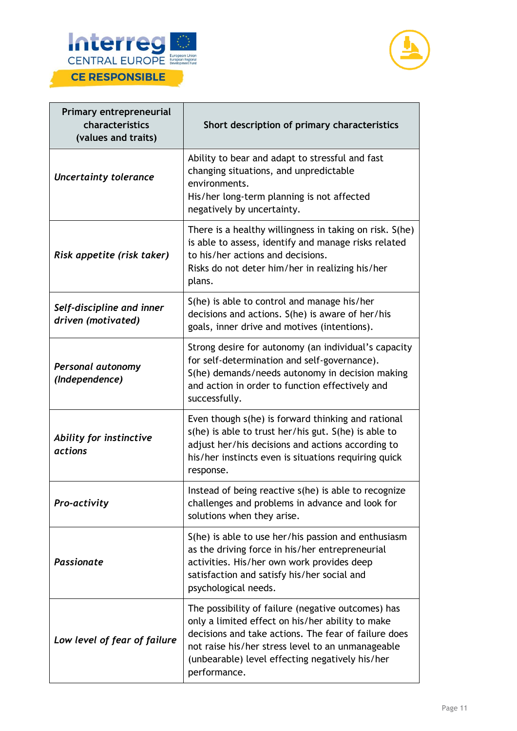



| Primary entrepreneurial<br>characteristics<br>(values and traits) | Short description of primary characteristics                                                                                                                                                                                                                                           |
|-------------------------------------------------------------------|----------------------------------------------------------------------------------------------------------------------------------------------------------------------------------------------------------------------------------------------------------------------------------------|
| <b>Uncertainty tolerance</b>                                      | Ability to bear and adapt to stressful and fast<br>changing situations, and unpredictable<br>environments.<br>His/her long-term planning is not affected<br>negatively by uncertainty.                                                                                                 |
| Risk appetite (risk taker)                                        | There is a healthy willingness in taking on risk. S(he)<br>is able to assess, identify and manage risks related<br>to his/her actions and decisions.<br>Risks do not deter him/her in realizing his/her<br>plans.                                                                      |
| Self-discipline and inner<br>driven (motivated)                   | S(he) is able to control and manage his/her<br>decisions and actions. S(he) is aware of her/his<br>goals, inner drive and motives (intentions).                                                                                                                                        |
| Personal autonomy<br>(Independence)                               | Strong desire for autonomy (an individual's capacity<br>for self-determination and self-governance).<br>S(he) demands/needs autonomy in decision making<br>and action in order to function effectively and<br>successfully.                                                            |
| Ability for instinctive<br><i>actions</i>                         | Even though s(he) is forward thinking and rational<br>s(he) is able to trust her/his gut. S(he) is able to<br>adjust her/his decisions and actions according to<br>his/her instincts even is situations requiring quick<br>response.                                                   |
| <b>Pro-activity</b>                                               | Instead of being reactive s(he) is able to recognize<br>challenges and problems in advance and look for<br>solutions when they arise.                                                                                                                                                  |
| <b>Passionate</b>                                                 | S(he) is able to use her/his passion and enthusiasm<br>as the driving force in his/her entrepreneurial<br>activities. His/her own work provides deep<br>satisfaction and satisfy his/her social and<br>psychological needs.                                                            |
| Low level of fear of failure                                      | The possibility of failure (negative outcomes) has<br>only a limited effect on his/her ability to make<br>decisions and take actions. The fear of failure does<br>not raise his/her stress level to an unmanageable<br>(unbearable) level effecting negatively his/her<br>performance. |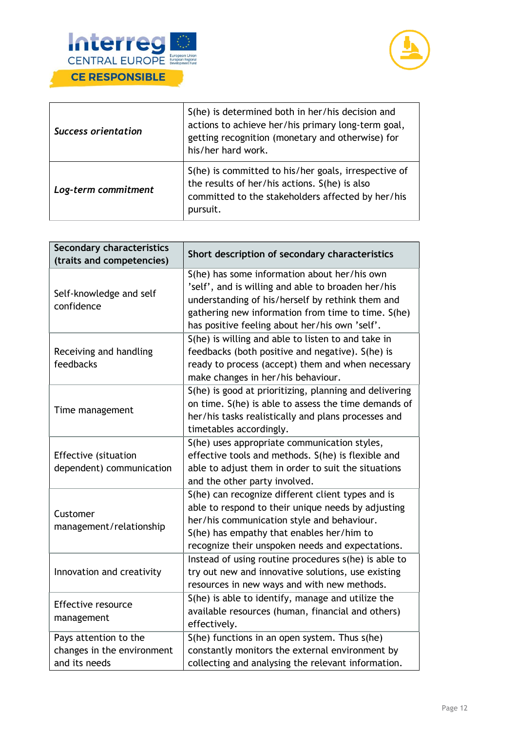



| <b>Success orientation</b> | S(he) is determined both in her/his decision and<br>actions to achieve her/his primary long-term goal,<br>getting recognition (monetary and otherwise) for<br>his/her hard work. |
|----------------------------|----------------------------------------------------------------------------------------------------------------------------------------------------------------------------------|
| Log-term commitment        | S(he) is committed to his/her goals, irrespective of<br>the results of her/his actions. S(he) is also<br>committed to the stakeholders affected by her/his<br>pursuit.           |

| <b>Secondary characteristics</b><br>(traits and competencies)        | Short description of secondary characteristics                                                                                                                                                                                                                 |
|----------------------------------------------------------------------|----------------------------------------------------------------------------------------------------------------------------------------------------------------------------------------------------------------------------------------------------------------|
| Self-knowledge and self<br>confidence                                | S(he) has some information about her/his own<br>'self', and is willing and able to broaden her/his<br>understanding of his/herself by rethink them and<br>gathering new information from time to time. S(he)<br>has positive feeling about her/his own 'self'. |
| Receiving and handling<br>feedbacks                                  | S(he) is willing and able to listen to and take in<br>feedbacks (both positive and negative). S(he) is<br>ready to process (accept) them and when necessary<br>make changes in her/his behaviour.                                                              |
| Time management                                                      | S(he) is good at prioritizing, planning and delivering<br>on time. S(he) is able to assess the time demands of<br>her/his tasks realistically and plans processes and<br>timetables accordingly.                                                               |
| <b>Effective (situation</b><br>dependent) communication              | S(he) uses appropriate communication styles,<br>effective tools and methods. S(he) is flexible and<br>able to adjust them in order to suit the situations<br>and the other party involved.                                                                     |
| Customer<br>management/relationship                                  | S(he) can recognize different client types and is<br>able to respond to their unique needs by adjusting<br>her/his communication style and behaviour.<br>S(he) has empathy that enables her/him to<br>recognize their unspoken needs and expectations.         |
| Innovation and creativity                                            | Instead of using routine procedures s(he) is able to<br>try out new and innovative solutions, use existing<br>resources in new ways and with new methods.                                                                                                      |
| <b>Effective resource</b><br>management                              | S(he) is able to identify, manage and utilize the<br>available resources (human, financial and others)<br>effectively.                                                                                                                                         |
| Pays attention to the<br>changes in the environment<br>and its needs | S(he) functions in an open system. Thus s(he)<br>constantly monitors the external environment by<br>collecting and analysing the relevant information.                                                                                                         |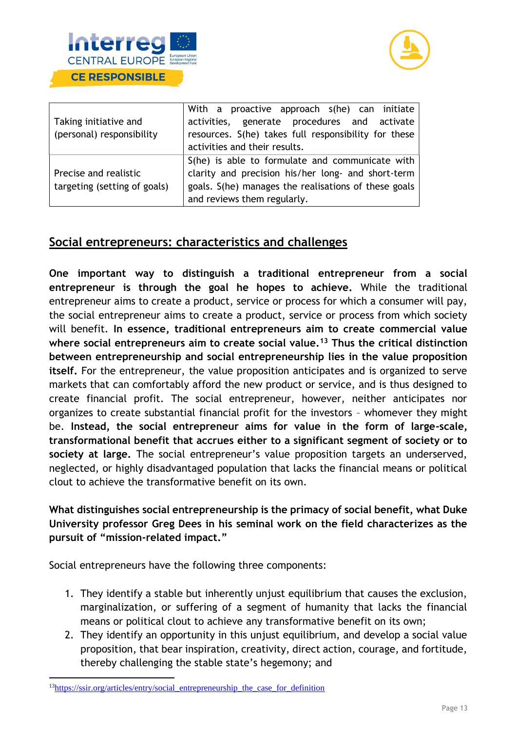



|                              | With a proactive approach s(he) can initiate         |
|------------------------------|------------------------------------------------------|
| Taking initiative and        | activities, generate procedures and activate         |
| (personal) responsibility    | resources. S(he) takes full responsibility for these |
|                              | activities and their results.                        |
|                              | S(he) is able to formulate and communicate with      |
| Precise and realistic        | clarity and precision his/her long- and short-term   |
| targeting (setting of goals) | goals. S(he) manages the realisations of these goals |
|                              | and reviews them regularly.                          |

# **Social entrepreneurs: characteristics and challenges**

**One important way to distinguish a traditional entrepreneur from a social entrepreneur is through the goal he hopes to achieve.** While the traditional entrepreneur aims to create a product, service or process for which a consumer will pay, the social entrepreneur aims to create a product, service or process from which society will benefit. **In essence, traditional entrepreneurs aim to create commercial value where social entrepreneurs aim to create social value.<sup>13</sup> Thus the critical distinction between entrepreneurship and social entrepreneurship lies in the value proposition itself.** For the entrepreneur, the value proposition anticipates and is organized to serve markets that can comfortably afford the new product or service, and is thus designed to create financial profit. The social entrepreneur, however, neither anticipates nor organizes to create substantial financial profit for the investors – whomever they might be. **Instead, the social entrepreneur aims for value in the form of large-scale, transformational benefit that accrues either to a significant segment of society or to society at large.** The social entrepreneur's value proposition targets an underserved, neglected, or highly disadvantaged population that lacks the financial means or political clout to achieve the transformative benefit on its own.

# **What distinguishes social entrepreneurship is the primacy of social benefit, what Duke University professor Greg Dees in his seminal work on the field characterizes as the pursuit of "mission-related impact."**

Social entrepreneurs have the following three components:

- 1. They identify a stable but inherently unjust equilibrium that causes the exclusion, marginalization, or suffering of a segment of humanity that lacks the financial means or political clout to achieve any transformative benefit on its own;
- 2. They identify an opportunity in this unjust equilibrium, and develop a social value proposition, that bear inspiration, creativity, direct action, courage, and fortitude, thereby challenging the stable state's hegemony; and

<sup>13</sup>[https://ssir.org/articles/entry/social\\_entrepreneurship\\_the\\_case\\_for\\_definition](https://ssir.org/articles/entry/social_entrepreneurship_the_case_for_definition)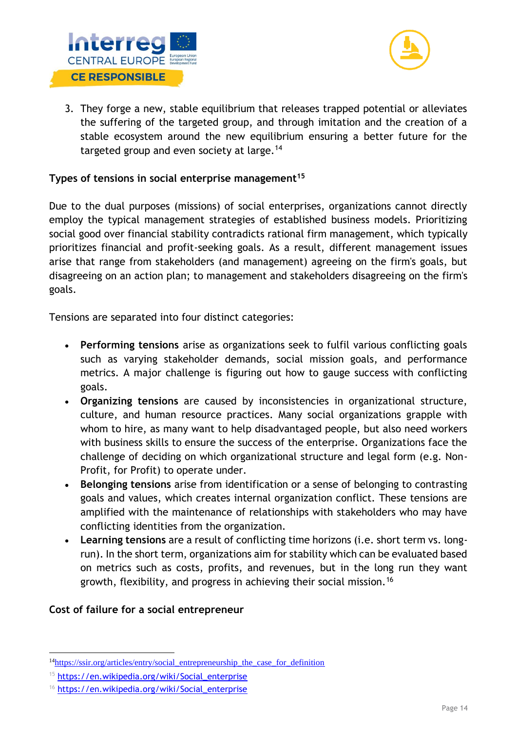



3. They forge a new, stable equilibrium that releases trapped potential or alleviates the suffering of the targeted group, and through imitation and the creation of a stable ecosystem around the new equilibrium ensuring a better future for the targeted group and even society at large.<sup>14</sup>

# **Types of tensions in social enterprise management<sup>15</sup>**

Due to the dual purposes (missions) of social enterprises, organizations cannot directly employ the typical management strategies of established business models. Prioritizing social good over financial stability contradicts rational firm management, which typically prioritizes financial and profit-seeking goals. As a result, different management issues arise that range from stakeholders (and management) agreeing on the firm's goals, but disagreeing on an action plan; to management and stakeholders disagreeing on the firm's goals.

Tensions are separated into four distinct categories:

- **Performing tensions** arise as organizations seek to fulfil various conflicting goals such as varying stakeholder demands, social mission goals, and performance metrics. A major challenge is figuring out how to gauge success with conflicting goals.
- **Organizing tensions** are caused by inconsistencies in organizational structure, culture, and human resource practices. Many social organizations grapple with whom to hire, as many want to help disadvantaged people, but also need workers with business skills to ensure the success of the enterprise. Organizations face the challenge of deciding on which organizational structure and legal form (e.g. Non-Profit, for Profit) to operate under.
- **Belonging tensions** arise from identification or a sense of belonging to contrasting goals and values, which creates internal organization conflict. These tensions are amplified with the maintenance of relationships with stakeholders who may have conflicting identities from the organization.
- **Learning tensions** are a result of conflicting time horizons (i.e. short term vs. longrun). In the short term, organizations aim for stability which can be evaluated based on metrics such as costs, profits, and revenues, but in the long run they want growth, flexibility, and progress in achieving their social mission.<sup>16</sup>

#### **Cost of failure for a social entrepreneur**

<sup>&</sup>lt;sup>14</sup>[https://ssir.org/articles/entry/social\\_entrepreneurship\\_the\\_case\\_for\\_definition](https://ssir.org/articles/entry/social_entrepreneurship_the_case_for_definition)

<sup>15</sup> [https://en.wikipedia.org/wiki/Social\\_enterprise](https://en.wikipedia.org/wiki/Social_enterprise)

<sup>&</sup>lt;sup>16</sup> [https://en.wikipedia.org/wiki/Social\\_enterprise](https://en.wikipedia.org/wiki/Social_enterprise)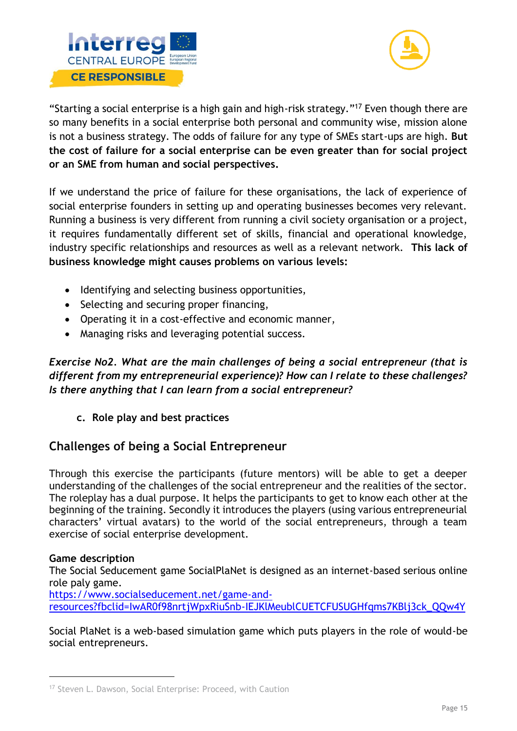



"Starting a social enterprise is a high gain and high-risk strategy."<sup>17</sup> Even though there are so many benefits in a social enterprise both personal and community wise, mission alone is not a business strategy. The odds of failure for any type of SMEs start-ups are high. **But the cost of failure for a social enterprise can be even greater than for social project or an SME from human and social perspectives.** 

If we understand the price of failure for these organisations, the lack of experience of social enterprise founders in setting up and operating businesses becomes very relevant. Running a business is very different from running a civil society organisation or a project, it requires fundamentally different set of skills, financial and operational knowledge, industry specific relationships and resources as well as a relevant network. **This lack of business knowledge might causes problems on various levels:** 

- Identifying and selecting business opportunities,
- Selecting and securing proper financing,
- Operating it in a cost-effective and economic manner,
- Managing risks and leveraging potential success.

*Exercise No2. What are the main challenges of being a social entrepreneur (that is different from my entrepreneurial experience)? How can I relate to these challenges? Is there anything that I can learn from a social entrepreneur?* 

**c. Role play and best practices**

# **Challenges of being a Social Entrepreneur**

Through this exercise the participants (future mentors) will be able to get a deeper understanding of the challenges of the social entrepreneur and the realities of the sector. The roleplay has a dual purpose. It helps the participants to get to know each other at the beginning of the training. Secondly it introduces the players (using various entrepreneurial characters' virtual avatars) to the world of the social entrepreneurs, through a team exercise of social enterprise development.

# **Game description**

The Social Seducement game SocialPlaNet is designed as an internet-based serious online role paly game.

[https://www.socialseducement.net/game-and](https://www.socialseducement.net/game-and-resources?fbclid=IwAR0f98nrtjWpxRiuSnb-IEJKlMeublCUETCFUSUGHfqms7KBlj3ck_QQw4Y)[resources?fbclid=IwAR0f98nrtjWpxRiuSnb-IEJKlMeublCUETCFUSUGHfqms7KBlj3ck\\_QQw4Y](https://www.socialseducement.net/game-and-resources?fbclid=IwAR0f98nrtjWpxRiuSnb-IEJKlMeublCUETCFUSUGHfqms7KBlj3ck_QQw4Y)

Social PlaNet is a web-based simulation game which puts players in the role of would-be social entrepreneurs.

<sup>&</sup>lt;sup>17</sup> Steven L. Dawson, Social Enterprise: Proceed, with Caution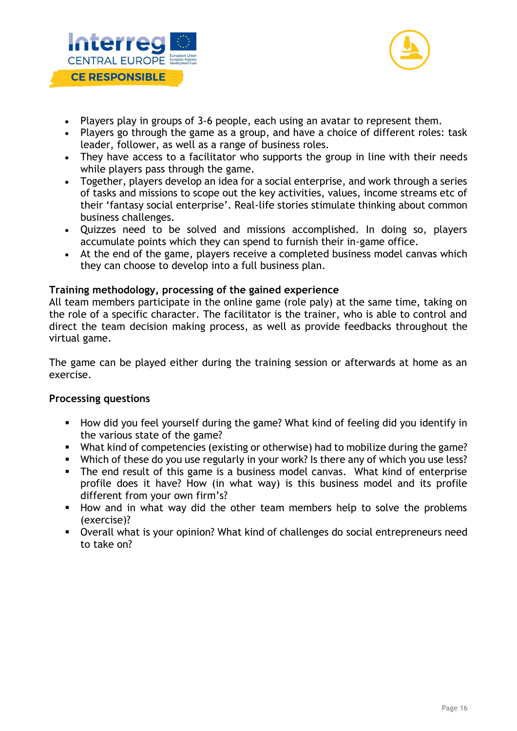



- Players play in groups of 3-6 people, each using an avatar to represent them.
- Players go through the game as a group, and have a choice of different roles: task leader, follower, as well as a range of business roles.
- They have access to a facilitator who supports the group in line with their needs while players pass through the game.
- Together, players develop an idea for a social enterprise, and work through a series of tasks and missions to scope out the key activities, values, income streams etc of their 'fantasy social enterprise'. Real-life stories stimulate thinking about common business challenges.
- Quizzes need to be solved and missions accomplished. In doing so, players accumulate points which they can spend to furnish their in-game office.
- At the end of the game, players receive a completed business model canvas which they can choose to develop into a full business plan.

#### **Training methodology, processing of the gained experience**

All team members participate in the online game (role paly) at the same time, taking on the role of a specific character. The facilitator is the trainer, who is able to control and direct the team decision making process, as well as provide feedbacks throughout the virtual game.

The game can be played either during the training session or afterwards at home as an exercise.

#### **Processing questions**

- How did you feel yourself during the game? What kind of feeling did you identify in the various state of the game?
- What kind of competencies (existing or otherwise) had to mobilize during the game?
- Which of these do you use regularly in your work? Is there any of which you use less?
- The end result of this game is a business model canvas. What kind of enterprise profile does it have? How (in what way) is this business model and its profile different from your own firm's?
- How and in what way did the other team members help to solve the problems (exercise)?
- Overall what is your opinion? What kind of challenges do social entrepreneurs need to take on?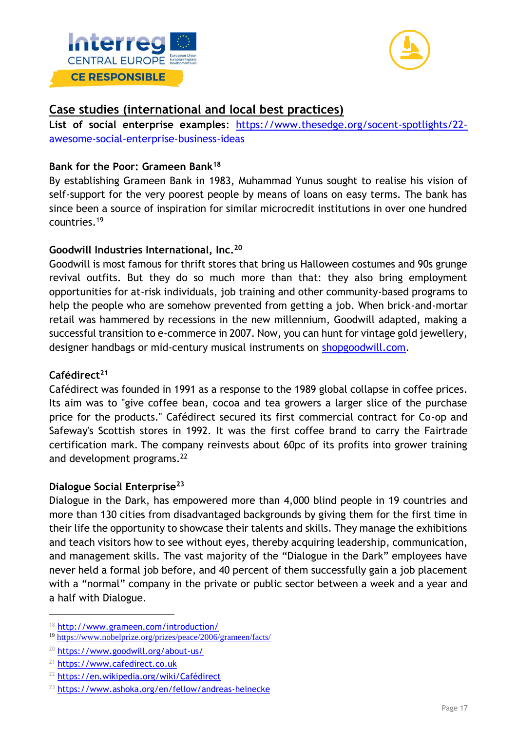



# **Case studies (international and local best practices)**

**List of social enterprise examples**: [https://www.thesedge.org/socent-spotlights/22](https://www.thesedge.org/socent-spotlights/22-awesome-social-enterprise-business-ideas) [awesome-social-enterprise-business-ideas](https://www.thesedge.org/socent-spotlights/22-awesome-social-enterprise-business-ideas)

#### **Bank for the Poor: Grameen Bank<sup>18</sup>**

By establishing Grameen Bank in 1983, Muhammad Yunus sought to realise his vision of self-support for the very poorest people by means of loans on easy terms. The bank has since been a source of inspiration for similar microcredit institutions in over one hundred countries.<sup>19</sup>

#### **Goodwill Industries International, Inc.<sup>20</sup>**

Goodwill is most famous for thrift stores that bring us Halloween costumes and 90s grunge revival outfits. But they do so much more than that: they also bring employment opportunities for at-risk individuals, job training and other community-based programs to help the people who are somehow prevented from getting a job. When brick-and-mortar retail was hammered by recessions in the new millennium, Goodwill adapted, making a successful transition to e-commerce in 2007. Now, you can hunt for vintage gold jewellery, designer handbags or mid-century musical instruments on [shopgoodwill.com.](https://www.shopgoodwill.com/)

#### **Cafédirect<sup>21</sup>**

Cafédirect was founded in 1991 as a response to the 1989 global collapse in coffee prices. Its aim was to "give coffee bean, cocoa and tea growers a larger slice of the purchase price for the products." Cafédirect secured its first commercial contract for Co-op and Safeway's Scottish stores in 1992. It was the first coffee brand to carry the Fairtrade certification mark. The company reinvests about 60pc of its profits into grower training and development programs.<sup>22</sup>

#### **Dialogue Social Enterprise<sup>23</sup>**

Dialogue in the Dark, has empowered more than 4,000 blind people in 19 countries and more than 130 cities from disadvantaged backgrounds by giving them for the first time in their life the opportunity to showcase their talents and skills. They manage the exhibitions and teach visitors how to see without eyes, thereby acquiring leadership, communication, and management skills. The vast majority of the "Dialogue in the Dark" employees have never held a formal job before, and 40 percent of them successfully gain a job placement with a "normal" company in the private or public sector between a week and a year and a half with Dialogue.

<sup>18</sup> <http://www.grameen.com/introduction/>

<sup>19</sup> <https://www.nobelprize.org/prizes/peace/2006/grameen/facts/>

<sup>20</sup> <https://www.goodwill.org/about-us/>

<sup>21</sup> [https://www.cafedirect.co.uk](https://www.cafedirect.co.uk/)

<sup>22</sup> <https://en.wikipedia.org/wiki/Cafédirect>

<sup>23</sup> <https://www.ashoka.org/en/fellow/andreas-heinecke>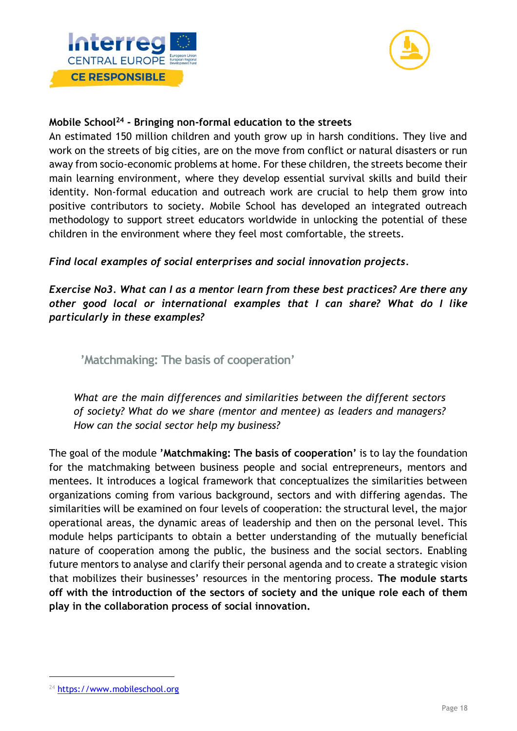



#### **Mobile School<sup>24</sup> - Bringing non-formal education to the streets**

An estimated 150 million children and youth grow up in harsh conditions. They live and work on the streets of big cities, are on the move from conflict or natural disasters or run away from socio-economic problems at home. For these children, the streets become their main learning environment, where they develop essential survival skills and build their identity. Non-formal education and outreach work are crucial to help them grow into positive contributors to society. Mobile School has developed an integrated outreach methodology to support street educators worldwide in unlocking the potential of these children in the environment where they feel most comfortable, the streets.

*Find local examples of social enterprises and social innovation projects.* 

*Exercise No3. What can I as a mentor learn from these best practices? Are there any other good local or international examples that I can share? What do I like particularly in these examples?* 

<span id="page-18-0"></span>**'Matchmaking: The basis of cooperation'** 

*What are the main differences and similarities between the different sectors of society? What do we share (mentor and mentee) as leaders and managers? How can the social sector help my business?*

The goal of the module **'Matchmaking: The basis of cooperation'** is to lay the foundation for the matchmaking between business people and social entrepreneurs, mentors and mentees. It introduces a logical framework that conceptualizes the similarities between organizations coming from various background, sectors and with differing agendas. The similarities will be examined on four levels of cooperation: the structural level, the major operational areas, the dynamic areas of leadership and then on the personal level. This module helps participants to obtain a better understanding of the mutually beneficial nature of cooperation among the public, the business and the social sectors. Enabling future mentors to analyse and clarify their personal agenda and to create a strategic vision that mobilizes their businesses' resources in the mentoring process. **The module starts off with the introduction of the sectors of society and the unique role each of them play in the collaboration process of social innovation.** 

<sup>&</sup>lt;sup>24</sup> [https://www.mobileschool.org](https://www.mobileschool.org/)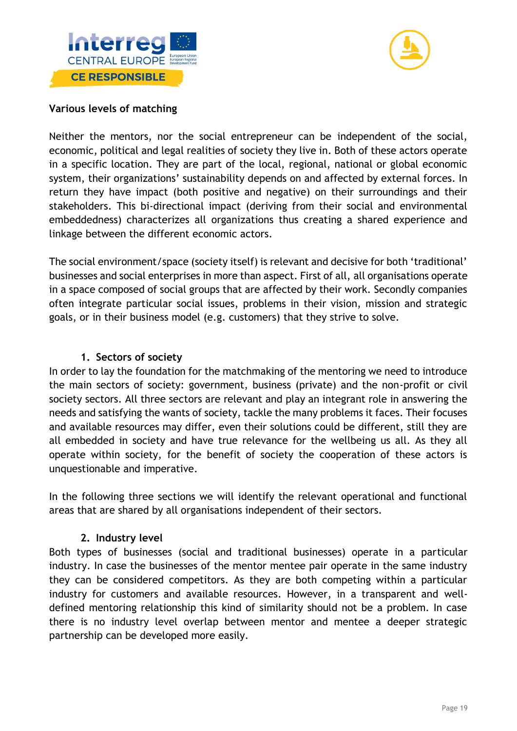



#### **Various levels of matching**

Neither the mentors, nor the social entrepreneur can be independent of the social, economic, political and legal realities of society they live in. Both of these actors operate in a specific location. They are part of the local, regional, national or global economic system, their organizations' sustainability depends on and affected by external forces. In return they have impact (both positive and negative) on their surroundings and their stakeholders. This bi-directional impact (deriving from their social and environmental embeddedness) characterizes all organizations thus creating a shared experience and linkage between the different economic actors.

The social environment/space (society itself) is relevant and decisive for both 'traditional' businesses and social enterprises in more than aspect. First of all, all organisations operate in a space composed of social groups that are affected by their work. Secondly companies often integrate particular social issues, problems in their vision, mission and strategic goals, or in their business model (e.g. customers) that they strive to solve.

#### **1. Sectors of society**

In order to lay the foundation for the matchmaking of the mentoring we need to introduce the main sectors of society: government, business (private) and the non-profit or civil society sectors. All three sectors are relevant and play an integrant role in answering the needs and satisfying the wants of society, tackle the many problems it faces. Their focuses and available resources may differ, even their solutions could be different, still they are all embedded in society and have true relevance for the wellbeing us all. As they all operate within society, for the benefit of society the cooperation of these actors is unquestionable and imperative.

In the following three sections we will identify the relevant operational and functional areas that are shared by all organisations independent of their sectors.

#### **2. Industry level**

Both types of businesses (social and traditional businesses) operate in a particular industry. In case the businesses of the mentor mentee pair operate in the same industry they can be considered competitors. As they are both competing within a particular industry for customers and available resources. However, in a transparent and welldefined mentoring relationship this kind of similarity should not be a problem. In case there is no industry level overlap between mentor and mentee a deeper strategic partnership can be developed more easily.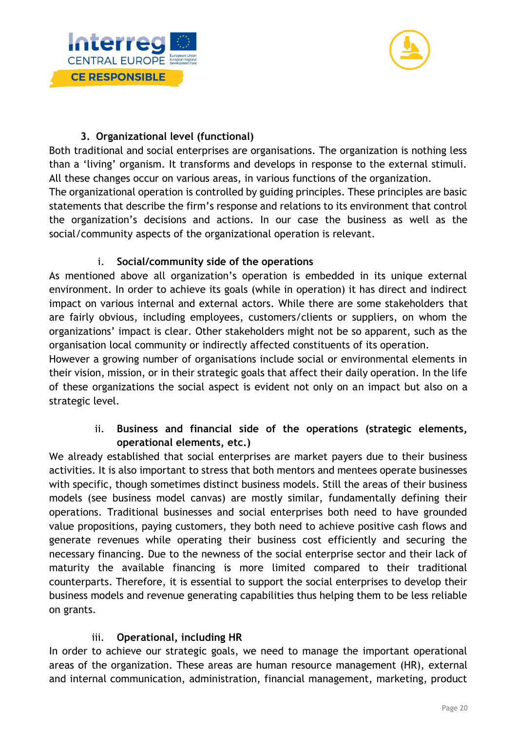



# **3. Organizational level (functional)**

Both traditional and social enterprises are organisations. The organization is nothing less than a 'living' organism. It transforms and develops in response to the external stimuli. All these changes occur on various areas, in various functions of the organization.

The organizational operation is controlled by guiding principles. These principles are basic statements that describe the firm's response and relations to its environment that control the organization's decisions and actions. In our case the business as well as the social/community aspects of the organizational operation is relevant.

# i. **Social/community side of the operations**

As mentioned above all organization's operation is embedded in its unique external environment. In order to achieve its goals (while in operation) it has direct and indirect impact on various internal and external actors. While there are some stakeholders that are fairly obvious, including employees, customers/clients or suppliers, on whom the organizations' impact is clear. Other stakeholders might not be so apparent, such as the organisation local community or indirectly affected constituents of its operation.

However a growing number of organisations include social or environmental elements in their vision, mission, or in their strategic goals that affect their daily operation. In the life of these organizations the social aspect is evident not only on an impact but also on a strategic level.

# ii. **Business and financial side of the operations (strategic elements, operational elements, etc.)**

We already established that social enterprises are market payers due to their business activities. It is also important to stress that both mentors and mentees operate businesses with specific, though sometimes distinct business models. Still the areas of their business models (see business model canvas) are mostly similar, fundamentally defining their operations. Traditional businesses and social enterprises both need to have grounded value propositions, paying customers, they both need to achieve positive cash flows and generate revenues while operating their business cost efficiently and securing the necessary financing. Due to the newness of the social enterprise sector and their lack of maturity the available financing is more limited compared to their traditional counterparts. Therefore, it is essential to support the social enterprises to develop their business models and revenue generating capabilities thus helping them to be less reliable on grants.

# iii. **Operational, including HR**

In order to achieve our strategic goals, we need to manage the important operational areas of the organization. These areas are human resource management (HR), external and internal communication, administration, financial management, marketing, product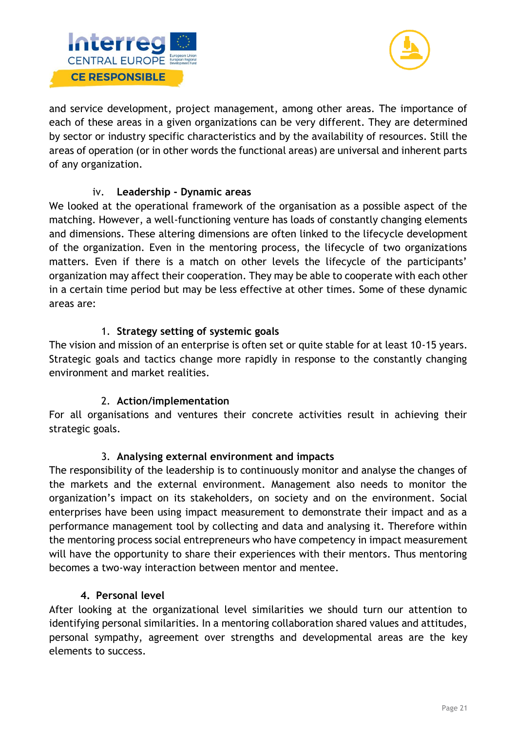



and service development, project management, among other areas. The importance of each of these areas in a given organizations can be very different. They are determined by sector or industry specific characteristics and by the availability of resources. Still the areas of operation (or in other words the functional areas) are universal and inherent parts of any organization.

# iv. **Leadership - Dynamic areas**

We looked at the operational framework of the organisation as a possible aspect of the matching. However, a well-functioning venture has loads of constantly changing elements and dimensions. These altering dimensions are often linked to the lifecycle development of the organization. Even in the mentoring process, the lifecycle of two organizations matters. Even if there is a match on other levels the lifecycle of the participants' organization may affect their cooperation. They may be able to cooperate with each other in a certain time period but may be less effective at other times. Some of these dynamic areas are:

# 1. **Strategy setting of systemic goals**

The vision and mission of an enterprise is often set or quite stable for at least 10-15 years. Strategic goals and tactics change more rapidly in response to the constantly changing environment and market realities.

# 2. **Action/implementation**

For all organisations and ventures their concrete activities result in achieving their strategic goals.

# 3. **Analysing external environment and impacts**

The responsibility of the leadership is to continuously monitor and analyse the changes of the markets and the external environment. Management also needs to monitor the organization's impact on its stakeholders, on society and on the environment. Social enterprises have been using impact measurement to demonstrate their impact and as a performance management tool by collecting and data and analysing it. Therefore within the mentoring process social entrepreneurs who have competency in impact measurement will have the opportunity to share their experiences with their mentors. Thus mentoring becomes a two-way interaction between mentor and mentee.

# **4. Personal level**

After looking at the organizational level similarities we should turn our attention to identifying personal similarities. In a mentoring collaboration shared values and attitudes, personal sympathy, agreement over strengths and developmental areas are the key elements to success.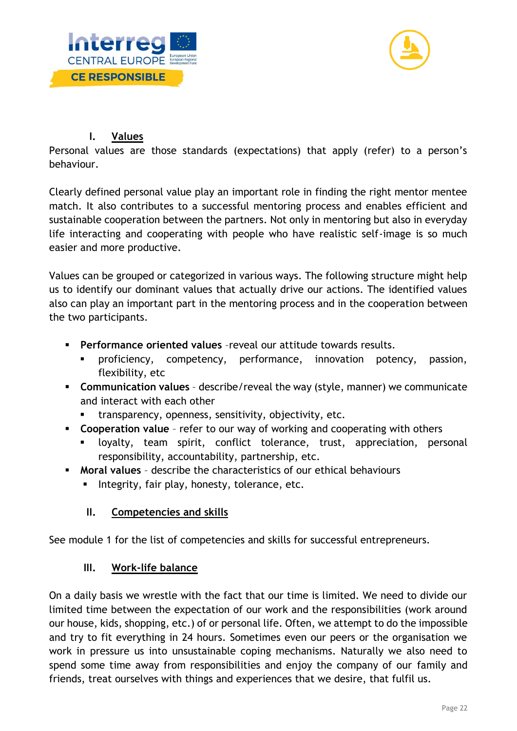



# **I. Values**

Personal values are those standards (expectations) that apply (refer) to a person's behaviour.

Clearly defined personal value play an important role in finding the right mentor mentee match. It also contributes to a successful mentoring process and enables efficient and sustainable cooperation between the partners. Not only in mentoring but also in everyday life interacting and cooperating with people who have realistic self-image is so much easier and more productive.

Values can be grouped or categorized in various ways. The following structure might help us to identify our dominant values that actually drive our actions. The identified values also can play an important part in the mentoring process and in the cooperation between the two participants.

- **Performance oriented values** –reveal our attitude towards results.
	- proficiency, competency, performance, innovation potency, passion, flexibility, etc
- **Communication values** describe/reveal the way (style, manner) we communicate and interact with each other
	- transparency, openness, sensitivity, objectivity, etc.
- **Cooperation value**  refer to our way of working and cooperating with others
	- loyalty, team spirit, conflict tolerance, trust, appreciation, personal responsibility, accountability, partnership, etc.
- **Moral values** describe the characteristics of our ethical behaviours
	- **EXPLO** Integrity, fair play, honesty, tolerance, etc.

# **II. Competencies and skills**

See module 1 for the list of competencies and skills for successful entrepreneurs.

# **III. Work-life balance**

On a daily basis we wrestle with the fact that our time is limited. We need to divide our limited time between the expectation of our work and the responsibilities (work around our house, kids, shopping, etc.) of or personal life. Often, we attempt to do the impossible and try to fit everything in 24 hours. Sometimes even our peers or the organisation we work in pressure us into unsustainable coping mechanisms. Naturally we also need to spend some time away from responsibilities and enjoy the company of our family and friends, treat ourselves with things and experiences that we desire, that fulfil us.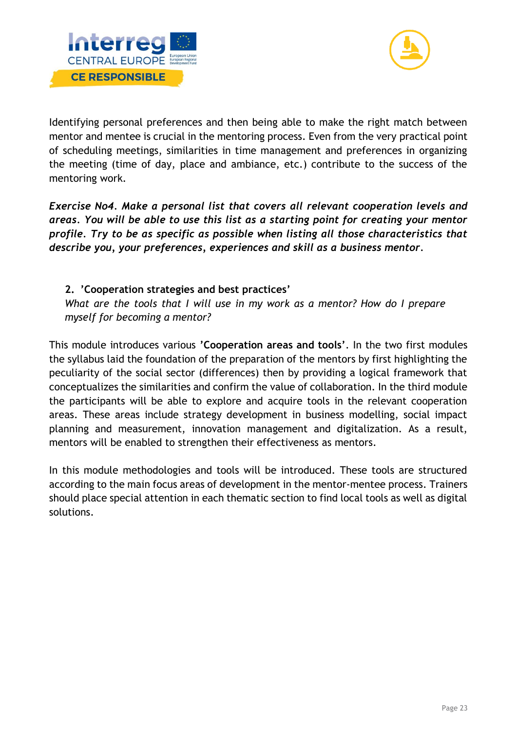



Identifying personal preferences and then being able to make the right match between mentor and mentee is crucial in the mentoring process. Even from the very practical point of scheduling meetings, similarities in time management and preferences in organizing the meeting (time of day, place and ambiance, etc.) contribute to the success of the mentoring work.

*Exercise No4. Make a personal list that covers all relevant cooperation levels and areas. You will be able to use this list as a starting point for creating your mentor profile. Try to be as specific as possible when listing all those characteristics that describe you, your preferences, experiences and skill as a business mentor.* 

# **2. 'Cooperation strategies and best practices'**

*What are the tools that I will use in my work as a mentor? How do I prepare myself for becoming a mentor?* 

This module introduces various **'Cooperation areas and tools'**. In the two first modules the syllabus laid the foundation of the preparation of the mentors by first highlighting the peculiarity of the social sector (differences) then by providing a logical framework that conceptualizes the similarities and confirm the value of collaboration. In the third module the participants will be able to explore and acquire tools in the relevant cooperation areas. These areas include strategy development in business modelling, social impact planning and measurement, innovation management and digitalization. As a result, mentors will be enabled to strengthen their effectiveness as mentors.

In this module methodologies and tools will be introduced. These tools are structured according to the main focus areas of development in the mentor-mentee process. Trainers should place special attention in each thematic section to find local tools as well as digital solutions.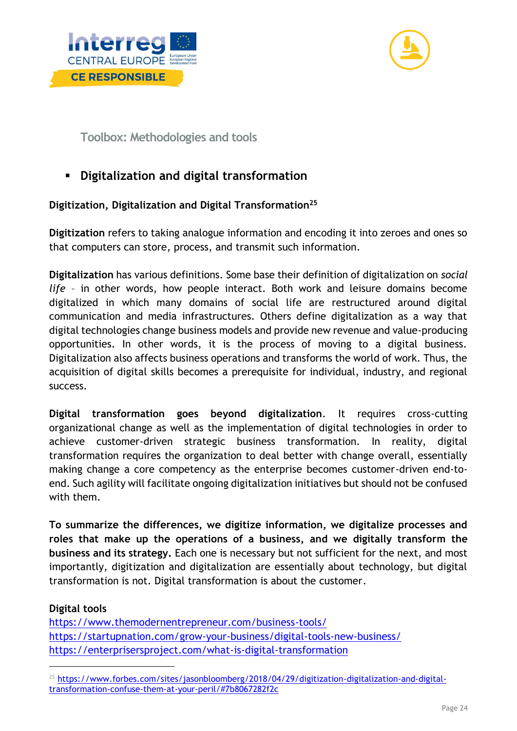



<span id="page-24-0"></span>**Toolbox: Methodologies and tools**

# **Digitalization and digital transformation**

# **Digitization, Digitalization and Digital Transformation<sup>25</sup>**

**Digitization** refers to taking analogue information and encoding it into zeroes and ones so that computers can store, process, and transmit such information.

**Digitalization** has various definitions. Some base their definition of digitalization on *social life* – in other words, how people interact. Both work and leisure domains become digitalized in which many domains of social life are restructured around digital communication and media infrastructures. Others define digitalization as a way that digital technologies change business models and provide new revenue and value-producing opportunities. In other words, it is the process of moving to a digital business. Digitalization also affects business operations and transforms the world of work. Thus, the acquisition of digital skills becomes a prerequisite for individual, industry, and regional success.

**Digital transformation goes beyond digitalization**. It requires cross-cutting organizational change as well as the implementation of digital technologies in order to achieve customer-driven strategic business transformation. In reality, digital transformation requires the organization to deal better with change overall, essentially making change a core competency as the enterprise becomes customer-driven end-toend. Such agility will facilitate ongoing digitalization initiatives but should not be confused with them.

**To summarize the differences, we digitize information, we digitalize processes and roles that make up the operations of a business, and we digitally transform the business and its strategy.** Each one is necessary but not sufficient for the next, and most importantly, digitization and digitalization are essentially about technology, but digital transformation is not. Digital transformation is about the customer.

# **Digital tools**

<https://www.themodernentrepreneur.com/business-tools/> <https://startupnation.com/grow-your-business/digital-tools-new-business/> <https://enterprisersproject.com/what-is-digital-transformation>

<sup>&</sup>lt;sup>25</sup> [https://www.forbes.com/sites/jasonbloomberg/2018/04/29/digitization-digitalization-and-digital](https://www.forbes.com/sites/jasonbloomberg/2018/04/29/digitization-digitalization-and-digital-transformation-confuse-them-at-your-peril/#7b8067282f2c)[transformation-confuse-them-at-your-peril/#7b8067282f2c](https://www.forbes.com/sites/jasonbloomberg/2018/04/29/digitization-digitalization-and-digital-transformation-confuse-them-at-your-peril/#7b8067282f2c)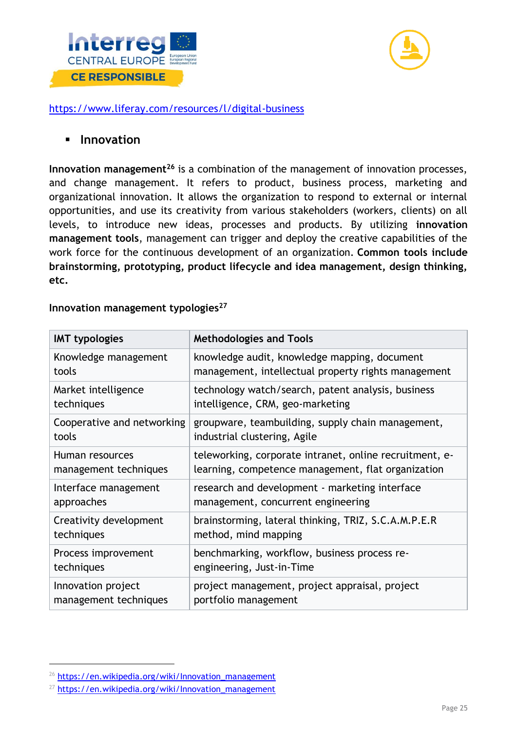



#### <https://www.liferay.com/resources/l/digital-business>

#### ▪ **Innovation**

**Innovation management<sup>26</sup>** is a combination of the management of innovation processes, and change management. It refers to product, business process, marketing and organizational innovation. It allows the organization to respond to external or internal opportunities, and use its creativity from various stakeholders (workers, clients) on all levels, to introduce new ideas, processes and products. By utilizing **innovation management tools**, management can trigger and deploy the creative capabilities of the work force for the continuous development of an organization. **Common tools include brainstorming, prototyping, product lifecycle and idea management, design thinking, etc.**

| <b>IMT typologies</b>      | <b>Methodologies and Tools</b>                          |
|----------------------------|---------------------------------------------------------|
| Knowledge management       | knowledge audit, knowledge mapping, document            |
| tools                      | management, intellectual property rights management     |
| Market intelligence        | technology watch/search, patent analysis, business      |
| techniques                 | intelligence, CRM, geo-marketing                        |
| Cooperative and networking | groupware, teambuilding, supply chain management,       |
| tools                      | industrial clustering, Agile                            |
| Human resources            | teleworking, corporate intranet, online recruitment, e- |
| management techniques      | learning, competence management, flat organization      |
| Interface management       | research and development - marketing interface          |
| approaches                 | management, concurrent engineering                      |
| Creativity development     | brainstorming, lateral thinking, TRIZ, S.C.A.M.P.E.R    |
| techniques                 | method, mind mapping                                    |
| Process improvement        | benchmarking, workflow, business process re-            |
| techniques                 | engineering, Just-in-Time                               |
| Innovation project         | project management, project appraisal, project          |
| management techniques      | portfolio management                                    |

**Innovation management typologies<sup>27</sup>**

<sup>26</sup> [https://en.wikipedia.org/wiki/Innovation\\_management](https://en.wikipedia.org/wiki/Innovation_management)

 $27$  [https://en.wikipedia.org/wiki/Innovation\\_management](https://en.wikipedia.org/wiki/Innovation_management)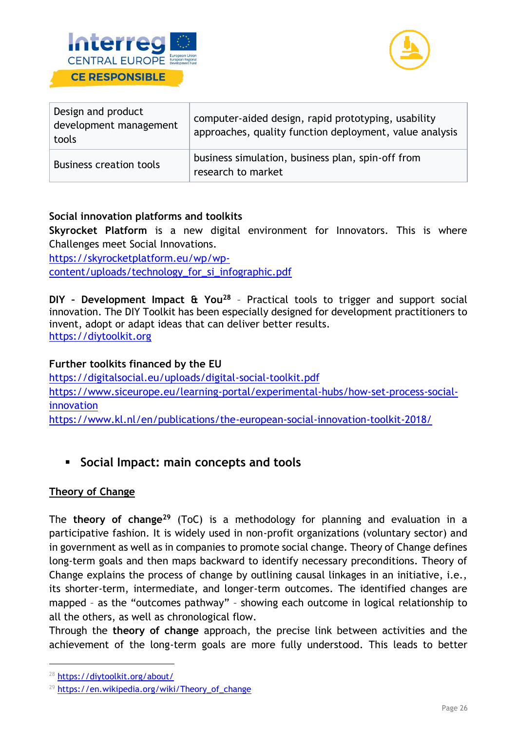



| Design and product<br>development management<br>tools | computer-aided design, rapid prototyping, usability<br>approaches, quality function deployment, value analysis |
|-------------------------------------------------------|----------------------------------------------------------------------------------------------------------------|
| <b>Business creation tools</b>                        | business simulation, business plan, spin-off from<br>research to market                                        |

# **Social innovation platforms and toolkits**

**Skyrocket Platform** is a new digital environment for Innovators. This is where Challenges meet Social Innovations.

[https://skyrocketplatform.eu/wp/wp](https://skyrocketplatform.eu/wp/wp-content/uploads/technology_for_si_infographic.pdf)[content/uploads/technology\\_for\\_si\\_infographic.pdf](https://skyrocketplatform.eu/wp/wp-content/uploads/technology_for_si_infographic.pdf)

**DIY – Development Impact & You<sup>28</sup>** – Practical tools to trigger and support social innovation. The DIY Toolkit has been especially designed for development practitioners to invent, adopt or adapt ideas that can deliver better results. [https://diytoolkit.org](https://diytoolkit.org/)

#### **Further toolkits financed by the EU**

<https://digitalsocial.eu/uploads/digital-social-toolkit.pdf> [https://www.siceurope.eu/learning-portal/experimental-hubs/how-set-process-social](https://www.siceurope.eu/learning-portal/experimental-hubs/how-set-process-social-innovation)[innovation](https://www.siceurope.eu/learning-portal/experimental-hubs/how-set-process-social-innovation) <https://www.kl.nl/en/publications/the-european-social-innovation-toolkit-2018/>

▪ **Social Impact: main concepts and tools**

# **Theory of Change**

The **theory of change<sup>29</sup>** (ToC) is a methodology for planning and evaluation in a participative fashion. It is widely used in non-profit organizations (voluntary sector) and in government as well as in companies to promote social change. Theory of Change defines long-term goals and then maps backward to identify necessary preconditions. Theory of Change explains the process of change by outlining causal linkages in an initiative, i.e., its shorter-term, intermediate, and longer-term outcomes. The identified changes are mapped – as the "outcomes pathway" – showing each outcome in logical relationship to all the others, as well as chronological flow.

Through the **theory of change** approach, the precise link between activities and the achievement of the long-term goals are more fully understood. This leads to better

<sup>28</sup> <https://diytoolkit.org/about/>

 $29$  https://en.wikipedia.org/wiki/Theory of change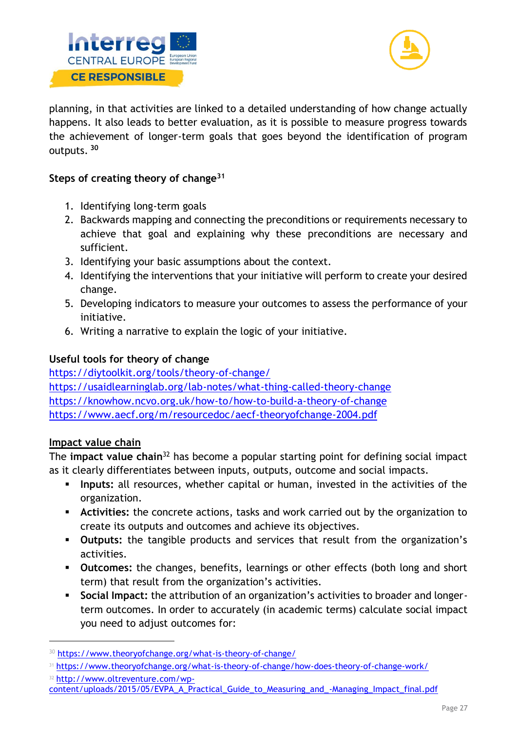



planning, in that activities are linked to a detailed understanding of how change actually happens. It also leads to better evaluation, as it is possible to measure progress towards the achievement of longer-term goals that goes beyond the identification of program outputs. **<sup>30</sup>**

# **Steps of creating theory of change<sup>31</sup>**

- 1. Identifying long-term goals
- 2. Backwards mapping and connecting the preconditions or requirements necessary to achieve that goal and explaining why these preconditions are necessary and sufficient.
- 3. Identifying your basic assumptions about the context.
- 4. Identifying the interventions that your initiative will perform to create your desired change.
- 5. Developing indicators to measure your outcomes to assess the performance of your initiative.
- 6. Writing a narrative to explain the logic of your initiative.

# **Useful tools for theory of change**

<https://diytoolkit.org/tools/theory-of-change/> <https://usaidlearninglab.org/lab-notes/what-thing-called-theory-change> <https://knowhow.ncvo.org.uk/how-to/how-to-build-a-theory-of-change> <https://www.aecf.org/m/resourcedoc/aecf-theoryofchange-2004.pdf>

# **Impact value chain**

The **impact value chain**<sup>32</sup> has become a popular starting point for defining social impact as it clearly differentiates between inputs, outputs, outcome and social impacts.

- **·** Inputs: all resources, whether capital or human, invested in the activities of the organization.
- **Activities:** the concrete actions, tasks and work carried out by the organization to create its outputs and outcomes and achieve its objectives.
- **Outputs:** the tangible products and services that result from the organization's activities.
- **Outcomes:** the changes, benefits, learnings or other effects (both long and short term) that result from the organization's activities.
- **Social Impact:** the attribution of an organization's activities to broader and longerterm outcomes. In order to accurately (in academic terms) calculate social impact you need to adjust outcomes for:

- <sup>32</sup> [http://www.oltreventure.com/wp-](http://www.oltreventure.com/wp-content/uploads/2015/05/EVPA_A_Practical_Guide_to_Measuring_and_-Managing_Impact_final.pdf)
- [content/uploads/2015/05/EVPA\\_A\\_Practical\\_Guide\\_to\\_Measuring\\_and\\_-Managing\\_Impact\\_final.pdf](http://www.oltreventure.com/wp-content/uploads/2015/05/EVPA_A_Practical_Guide_to_Measuring_and_-Managing_Impact_final.pdf)

<sup>30</sup> <https://www.theoryofchange.org/what-is-theory-of-change/>

<sup>31</sup> <https://www.theoryofchange.org/what-is-theory-of-change/how-does-theory-of-change-work/>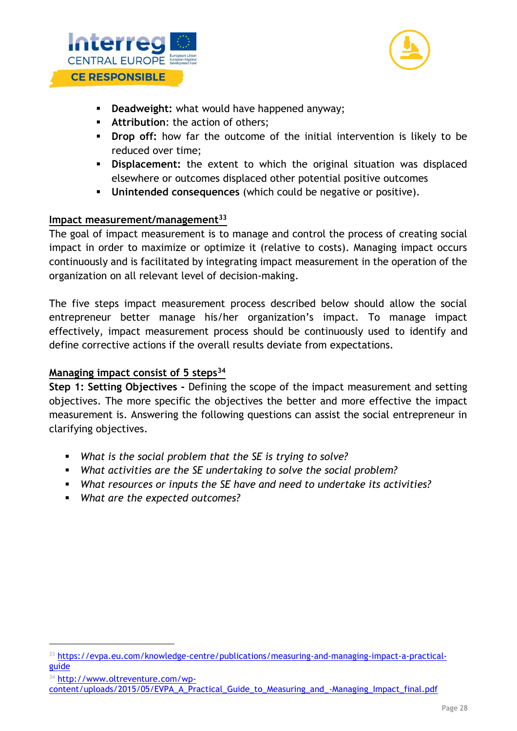



- **Deadweight:** what would have happened anyway;
- **EXECUTE:** Attribution: the action of others;
- **Drop off:** how far the outcome of the initial intervention is likely to be reduced over time;
- **Displacement:** the extent to which the original situation was displaced elsewhere or outcomes displaced other potential positive outcomes
- **Unintended consequences** (which could be negative or positive).

#### **Impact measurement/management<sup>33</sup>**

The goal of impact measurement is to manage and control the process of creating social impact in order to maximize or optimize it (relative to costs). Managing impact occurs continuously and is facilitated by integrating impact measurement in the operation of the organization on all relevant level of decision-making.

The five steps impact measurement process described below should allow the social entrepreneur better manage his/her organization's impact. To manage impact effectively, impact measurement process should be continuously used to identify and define corrective actions if the overall results deviate from expectations.

# **Managing impact consist of 5 steps<sup>34</sup>**

**Step 1: Setting Objectives -** Defining the scope of the impact measurement and setting objectives. The more specific the objectives the better and more effective the impact measurement is. Answering the following questions can assist the social entrepreneur in clarifying objectives.

- *What is the social problem that the SE is trying to solve?*
- *What activities are the SE undertaking to solve the social problem?*
- *What resources or inputs the SE have and need to undertake its activities?*
- *What are the expected outcomes?*

<sup>34</sup> [http://www.oltreventure.com/wp-](http://www.oltreventure.com/wp-content/uploads/2015/05/EVPA_A_Practical_Guide_to_Measuring_and_-Managing_Impact_final.pdf)

<sup>33</sup> [https://evpa.eu.com/knowledge-centre/publications/measuring-and-managing-impact-a-practical](https://evpa.eu.com/knowledge-centre/publications/measuring-and-managing-impact-a-practical-guide)[guide](https://evpa.eu.com/knowledge-centre/publications/measuring-and-managing-impact-a-practical-guide)

[content/uploads/2015/05/EVPA\\_A\\_Practical\\_Guide\\_to\\_Measuring\\_and\\_-Managing\\_Impact\\_final.pdf](http://www.oltreventure.com/wp-content/uploads/2015/05/EVPA_A_Practical_Guide_to_Measuring_and_-Managing_Impact_final.pdf)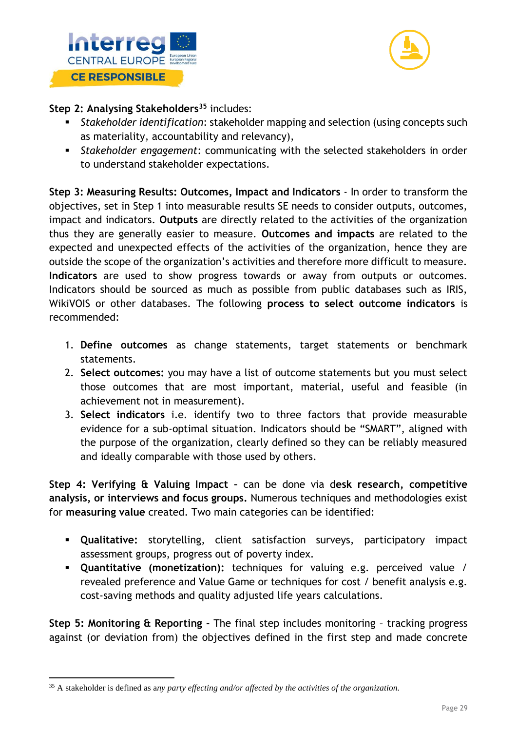



**Step 2: Analysing Stakeholders<sup>35</sup>** includes:

- *Stakeholder identification*: stakeholder mapping and selection (using concepts such as materiality, accountability and relevancy),
- *Stakeholder engagement*: communicating with the selected stakeholders in order to understand stakeholder expectations.

**Step 3: Measuring Results: Outcomes, Impact and Indicators** - In order to transform the objectives, set in Step 1 into measurable results SE needs to consider outputs, outcomes, impact and indicators. **Outputs** are directly related to the activities of the organization thus they are generally easier to measure. **Outcomes and impacts** are related to the expected and unexpected effects of the activities of the organization, hence they are outside the scope of the organization's activities and therefore more difficult to measure. **Indicators** are used to show progress towards or away from outputs or outcomes. Indicators should be sourced as much as possible from public databases such as IRIS, WikiVOIS or other databases. The following **process to select outcome indicators** is recommended:

- 1. **Define outcomes** as change statements, target statements or benchmark statements.
- 2. **Select outcomes:** you may have a list of outcome statements but you must select those outcomes that are most important, material, useful and feasible (in achievement not in measurement).
- 3. **Select indicators** i.e. identify two to three factors that provide measurable evidence for a sub-optimal situation. Indicators should be "SMART", aligned with the purpose of the organization, clearly defined so they can be reliably measured and ideally comparable with those used by others.

**Step 4: Verifying & Valuing Impact –** can be done via d**esk research, competitive analysis, or interviews and focus groups.** Numerous techniques and methodologies exist for **measuring value** created. Two main categories can be identified:

- **Qualitative:** storytelling, client satisfaction surveys, participatory impact assessment groups, progress out of poverty index.
- **Quantitative (monetization):** techniques for valuing e.g. perceived value / revealed preference and Value Game or techniques for cost / benefit analysis e.g. cost-saving methods and quality adjusted life years calculations.

**Step 5: Monitoring & Reporting -** The final step includes monitoring – tracking progress against (or deviation from) the objectives defined in the first step and made concrete

<sup>35</sup> A stakeholder is defined as a*ny party effecting and/or affected by the activities of the organization.*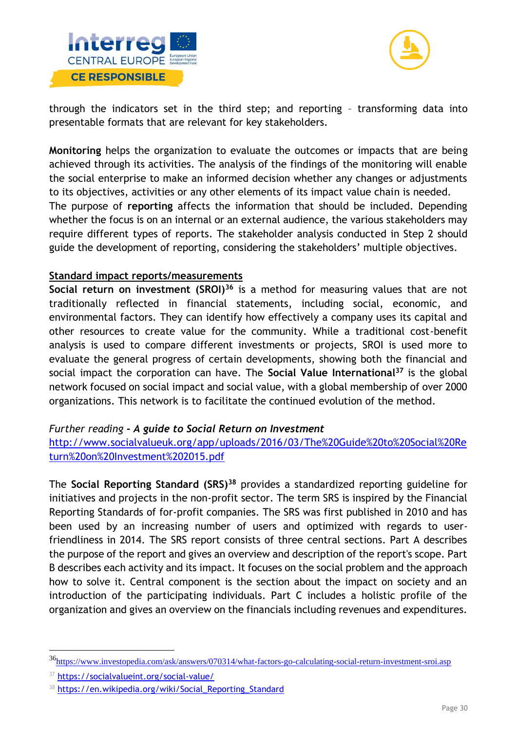



through the indicators set in the third step; and reporting – transforming data into presentable formats that are relevant for key stakeholders.

**Monitoring** helps the organization to evaluate the outcomes or impacts that are being achieved through its activities. The analysis of the findings of the monitoring will enable the social enterprise to make an informed decision whether any changes or adjustments to its objectives, activities or any other elements of its impact value chain is needed. The purpose of **reporting** affects the information that should be included. Depending whether the focus is on an internal or an external audience, the various stakeholders may require different types of reports. The stakeholder analysis conducted in Step 2 should guide the development of reporting, considering the stakeholders' multiple objectives.

#### **Standard impact reports/measurements**

**Social return on investment (SROI)<sup>36</sup>** is a method for measuring values that are not traditionally reflected in financial statements, including social, economic, and environmental factors. They can identify how effectively a company uses its capital and other resources to create value for the community. While a traditional cost-benefit analysis is used to compare different investments or projects, SROI is used more to evaluate the general progress of certain developments, showing both the financial and social impact the corporation can have. The **Social Value International<sup>37</sup>** is the global network focused on social impact and social value, with a global membership of over 2000 organizations. This network is to facilitate the continued evolution of the method.

#### *Further reading* **-** *A guide to Social Return on Investment*

[http://www.socialvalueuk.org/app/uploads/2016/03/The%20Guide%20to%20Social%20Re](http://www.socialvalueuk.org/app/uploads/2016/03/The%20Guide%20to%20Social%20Return%20on%20Investment%202015.pdf) [turn%20on%20Investment%202015.pdf](http://www.socialvalueuk.org/app/uploads/2016/03/The%20Guide%20to%20Social%20Return%20on%20Investment%202015.pdf)

The **Social Reporting Standard (SRS)<sup>38</sup>** provides a standardized reporting guideline for initiatives and projects in the non-profit sector. The term SRS is inspired by the Financial Reporting Standards of for-profit companies. The SRS was first published in 2010 and has been used by an increasing number of users and optimized with regards to userfriendliness in 2014. The SRS report consists of three central sections. Part A describes the purpose of the report and gives an overview and description of the report's scope. Part B describes each activity and its impact. It focuses on the social problem and the approach how to solve it. Central component is the section about the impact on society and an introduction of the participating individuals. Part C includes a holistic profile of the organization and gives an overview on the financials including revenues and expenditures.

<sup>36</sup><https://www.investopedia.com/ask/answers/070314/what-factors-go-calculating-social-return-investment-sroi.asp>

<sup>37</sup> <https://socialvalueint.org/social-value/>

<sup>38</sup> https://en.wikipedia.org/wiki/Social Reporting Standard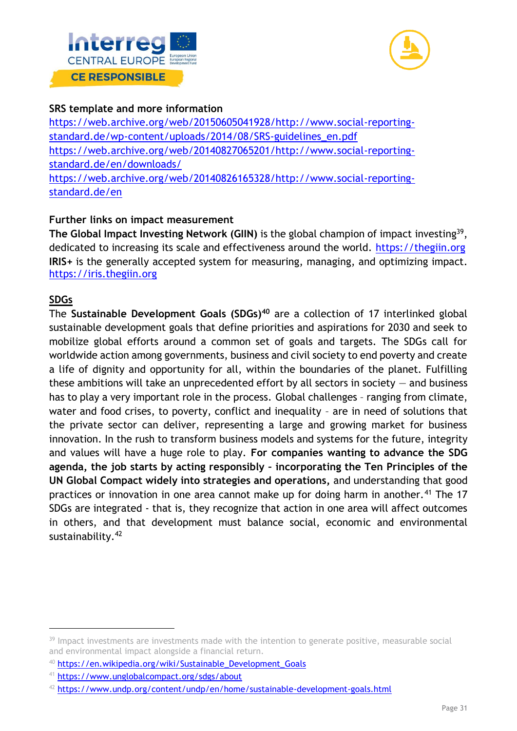



#### **SRS template and more information**

[https://web.archive.org/web/20150605041928/http://www.social-reporting](https://web.archive.org/web/20150605041928/http:/www.social-reporting-standard.de/wp-content/uploads/2014/08/SRS-guidelines_en.pdf)[standard.de/wp-content/uploads/2014/08/SRS-guidelines\\_en.pdf](https://web.archive.org/web/20150605041928/http:/www.social-reporting-standard.de/wp-content/uploads/2014/08/SRS-guidelines_en.pdf) [https://web.archive.org/web/20140827065201/http://www.social-reporting](https://web.archive.org/web/20140827065201/http:/www.social-reporting-standard.de/en/downloads/)[standard.de/en/downloads/](https://web.archive.org/web/20140827065201/http:/www.social-reporting-standard.de/en/downloads/) [https://web.archive.org/web/20140826165328/http://www.social-reporting](https://web.archive.org/web/20140826165328/http:/www.social-reporting-standard.de/en)[standard.de/en](https://web.archive.org/web/20140826165328/http:/www.social-reporting-standard.de/en)

# **Further links on impact measurement**

The Global Impact Investing Network (GIIN) is the global champion of impact investing<sup>39</sup>, dedicated to increasing its scale and effectiveness around the world. [https://thegiin.org](https://thegiin.org/) **IRIS+** is the generally accepted system for measuring, managing, and optimizing impact. [https://iris.thegiin.org](https://iris.thegiin.org/)

# **SDGs**

The **Sustainable Development Goals (SDGs)<sup>40</sup>** are a collection of 17 interlinked global sustainable development goals that define priorities and aspirations for 2030 and seek to mobilize global efforts around a common set of goals and targets. The SDGs call for worldwide action among governments, business and civil society to end poverty and create a life of dignity and opportunity for all, within the boundaries of the planet. Fulfilling these ambitions will take an unprecedented effort by all sectors in society  $-$  and business has to play a very important role in the process. Global challenges – ranging from climate, water and food crises, to poverty, conflict and inequality – are in need of solutions that the private sector can deliver, representing a large and growing market for business innovation. In the rush to transform business models and systems for the future, integrity and values will have a huge role to play. **For companies wanting to advance the SDG agenda, the job starts by acting responsibly – incorporating the Ten Principles of the UN Global Compact widely into strategies and operations,** and understanding that good practices or innovation in one area cannot make up for doing harm in another.<sup>41</sup> The 17 SDGs are integrated - that is, they recognize that action in one area will affect outcomes in others, and that development must balance social, economic and environmental sustainability.<sup>42</sup>

<sup>&</sup>lt;sup>39</sup> Impact investments are investments made with the intention to generate positive, measurable social and environmental impact alongside a financial return.

<sup>40</sup> [https://en.wikipedia.org/wiki/Sustainable\\_Development\\_Goals](https://en.wikipedia.org/wiki/Sustainable_Development_Goals)

<sup>41</sup> <https://www.unglobalcompact.org/sdgs/about>

 $42$  <https://www.undp.org/content/undp/en/home/sustainable-development-goals.html>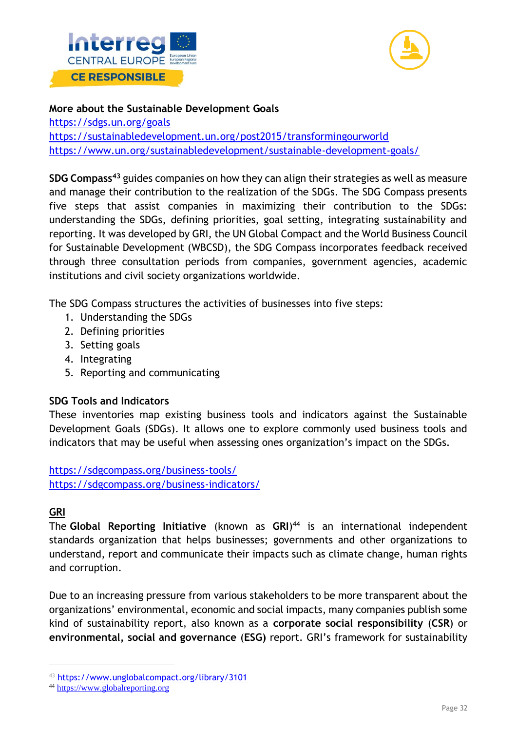



#### **More about the Sustainable Development Goals**

<https://sdgs.un.org/goals> <https://sustainabledevelopment.un.org/post2015/transformingourworld> <https://www.un.org/sustainabledevelopment/sustainable-development-goals/>

**SDG Compass<sup>43</sup>** guides companies on how they can align their strategies as well as measure and manage their contribution to the realization of the SDGs. The SDG Compass presents five steps that assist companies in maximizing their contribution to the SDGs: understanding the SDGs, defining priorities, goal setting, integrating sustainability and reporting. It was developed by GRI, the UN Global Compact and the World Business Council for Sustainable Development (WBCSD), the SDG Compass incorporates feedback received through three consultation periods from companies, government agencies, academic institutions and civil society organizations worldwide.

The SDG Compass structures the activities of businesses into five steps:

- 1. Understanding the SDGs
- 2. Defining priorities
- 3. Setting goals
- 4. Integrating
- 5. Reporting and communicating

# **SDG Tools and Indicators**

These inventories map existing business tools and indicators against the Sustainable Development Goals (SDGs). It allows one to explore commonly used business tools and indicators that may be useful when assessing ones organization's impact on the SDGs.

<https://sdgcompass.org/business-tools/> <https://sdgcompass.org/business-indicators/>

# **GRI**

The **Global Reporting Initiative** (known as **GRI**) <sup>44</sup> is an international independent standards organization that helps businesses; governments and other organizations to understand, report and communicate their impacts such as climate change, human rights and corruption.

Due to an increasing pressure from various stakeholders to be more transparent about the organizations' environmental, economic and social impacts, many companies publish some kind of sustainability report, also known as a **corporate social responsibility** (**CSR**) or **environmental, social and governance** (**ESG)** report. GRI's framework for sustainability

<sup>43</sup> <https://www.unglobalcompact.org/library/3101>

<sup>44</sup> [https://www.globalreporting.org](https://www.globalreporting.org/)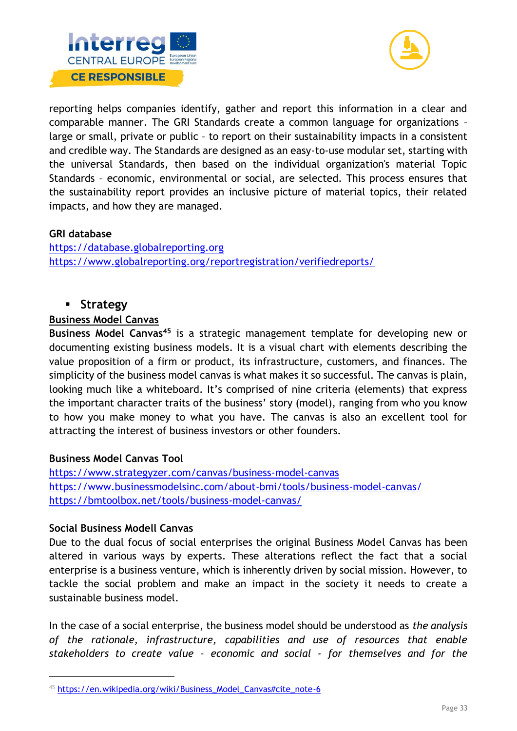



reporting helps companies identify, gather and report this information in a clear and comparable manner. The GRI Standards create a common language for organizations – large or small, private or public – to report on their sustainability impacts in a consistent and credible way. The Standards are designed as an easy-to-use modular set, starting with the universal Standards, then based on the individual organization's material Topic Standards – economic, environmental or social, are selected. This process ensures that the sustainability report provides an inclusive picture of material topics, their related impacts, and how they are managed.

#### **GRI database**

[https://database.globalreporting.org](https://database.globalreporting.org/) <https://www.globalreporting.org/reportregistration/verifiedreports/>

# ▪ **Strategy**

#### **Business Model Canvas**

**Business Model Canvas<sup>45</sup>** is a strategic management template for developing new or documenting existing business models. It is a visual chart with elements describing the value proposition of a firm or product, its infrastructure, customers, and finances. The simplicity of the business model canvas is what makes it so successful. The canvas is plain, looking much like a whiteboard. It's comprised of nine criteria (elements) that express the important character traits of the business' story (model), ranging from who you know to how you make money to what you have. The canvas is also an excellent tool for attracting the interest of business investors or other founders.

#### **Business Model Canvas Tool**

<https://www.strategyzer.com/canvas/business-model-canvas> <https://www.businessmodelsinc.com/about-bmi/tools/business-model-canvas/> <https://bmtoolbox.net/tools/business-model-canvas/>

#### **Social Business Modell Canvas**

Due to the dual focus of social enterprises the original Business Model Canvas has been altered in various ways by experts. These alterations reflect the fact that a social enterprise is a business venture, which is inherently driven by social mission. However, to tackle the social problem and make an impact in the society it needs to create a sustainable business model.

In the case of a social enterprise, the business model should be understood as *the analysis of the rationale, infrastructure, capabilities and use of resources that enable stakeholders to create value – economic and social - for themselves and for the* 

 $45$  [https://en.wikipedia.org/wiki/Business\\_Model\\_Canvas#cite\\_note-6](https://en.wikipedia.org/wiki/Business_Model_Canvas#cite_note-6)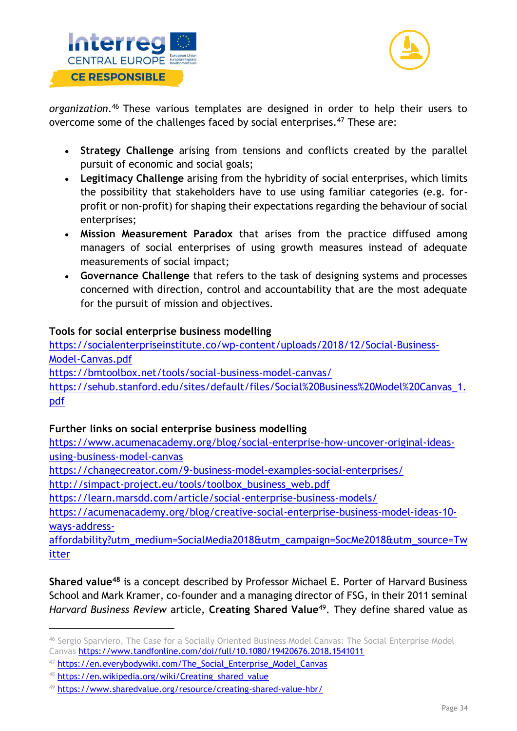



*organization*. <sup>46</sup> These various templates are designed in order to help their users to overcome some of the challenges faced by social enterprises.<sup>47</sup> These are:

- **Strategy Challenge** arising from tensions and conflicts created by the parallel pursuit of economic and social goals;
- **Legitimacy Challenge** arising from the hybridity of social enterprises, which limits the possibility that stakeholders have to use using familiar categories (e.g. forprofit or non-profit) for shaping their expectations regarding the behaviour of social enterprises;
- **Mission Measurement Paradox** that arises from the practice diffused among managers of social enterprises of using growth measures instead of adequate measurements of social impact;
- **Governance Challenge** that refers to the task of designing systems and processes concerned with direction, control and accountability that are the most adequate for the pursuit of mission and objectives.

# **Tools for social enterprise business modelling**

[https://socialenterpriseinstitute.co/wp-content/uploads/2018/12/Social-Business-](https://socialenterpriseinstitute.co/wp-content/uploads/2018/12/Social-Business-Model-Canvas.pdf)[Model-Canvas.pdf](https://socialenterpriseinstitute.co/wp-content/uploads/2018/12/Social-Business-Model-Canvas.pdf) <https://bmtoolbox.net/tools/social-business-model-canvas/> [https://sehub.stanford.edu/sites/default/files/Social%20Business%20Model%20Canvas\\_1.](https://sehub.stanford.edu/sites/default/files/Social%20Business%20Model%20Canvas_1.pdf) [pdf](https://sehub.stanford.edu/sites/default/files/Social%20Business%20Model%20Canvas_1.pdf)

# **Further links on social enterprise business modelling**

[https://www.acumenacademy.org/blog/social-enterprise-how-uncover-original-ideas](https://www.acumenacademy.org/blog/social-enterprise-how-uncover-original-ideas-using-business-model-canvas)[using-business-model-canvas](https://www.acumenacademy.org/blog/social-enterprise-how-uncover-original-ideas-using-business-model-canvas)

<https://changecreator.com/9-business-model-examples-social-enterprises/>

[http://simpact-project.eu/tools/toolbox\\_business\\_web.pdf](http://simpact-project.eu/tools/toolbox_business_web.pdf)

<https://learn.marsdd.com/article/social-enterprise-business-models/>

[https://acumenacademy.org/blog/creative-social-enterprise-business-model-ideas-10](https://acumenacademy.org/blog/creative-social-enterprise-business-model-ideas-10-ways-address-affordability?utm_medium=SocialMedia2018&utm_campaign=SocMe2018&utm_source=Twitter) [ways-address-](https://acumenacademy.org/blog/creative-social-enterprise-business-model-ideas-10-ways-address-affordability?utm_medium=SocialMedia2018&utm_campaign=SocMe2018&utm_source=Twitter)

[affordability?utm\\_medium=SocialMedia2018&utm\\_campaign=SocMe2018&utm\\_source=Tw](https://acumenacademy.org/blog/creative-social-enterprise-business-model-ideas-10-ways-address-affordability?utm_medium=SocialMedia2018&utm_campaign=SocMe2018&utm_source=Twitter) [itter](https://acumenacademy.org/blog/creative-social-enterprise-business-model-ideas-10-ways-address-affordability?utm_medium=SocialMedia2018&utm_campaign=SocMe2018&utm_source=Twitter)

**Shared value<sup>48</sup>** is a concept described by Professor Michael E. Porter of Harvard Business School and Mark Kramer, co-founder and a managing director of FSG, in their 2011 seminal *Harvard Business Review* article, **Creating Shared Value**<sup>49</sup>. They define shared value as

<sup>46</sup> Sergio Sparviero, The Case for a Socially Oriented Business Model Canvas: The Social Enterprise Model Canvas <https://www.tandfonline.com/doi/full/10.1080/19420676.2018.1541011>

<sup>47</sup> [https://en.everybodywiki.com/The\\_Social\\_Enterprise\\_Model\\_Canvas](https://en.everybodywiki.com/The_Social_Enterprise_Model_Canvas)

<sup>48</sup> [https://en.wikipedia.org/wiki/Creating\\_shared\\_value](https://en.wikipedia.org/wiki/Creating_shared_value)

<sup>49</sup> <https://www.sharedvalue.org/resource/creating-shared-value-hbr/>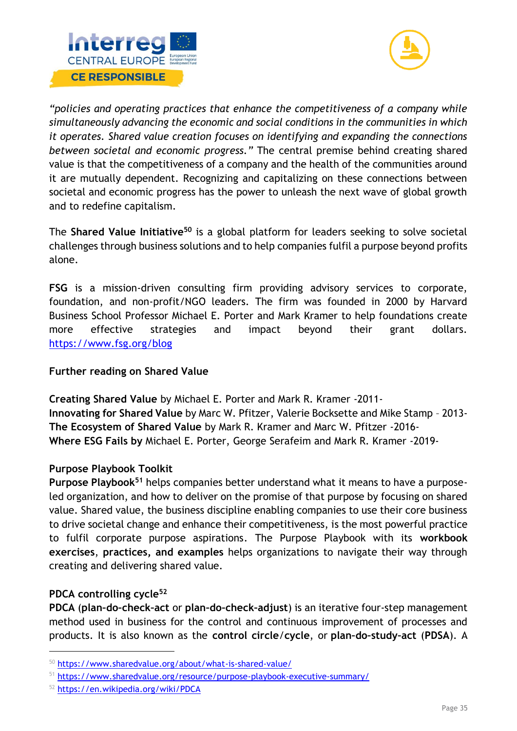



*"policies and operating practices that enhance the competitiveness of a company while simultaneously advancing the economic and social conditions in the communities in which it operates. Shared value creation focuses on identifying and expanding the connections between societal and economic progress."* The central premise behind creating shared value is that the competitiveness of a company and the health of the communities around it are mutually dependent. Recognizing and capitalizing on these connections between societal and economic progress has the power to unleash the next wave of global growth and to redefine capitalism.

The **Shared Value Initiative<sup>50</sup>** is a global platform for leaders seeking to solve societal challenges through business solutions and to help companies fulfil a purpose beyond profits alone.

**FSG** is a mission-driven consulting firm providing advisory services to corporate, foundation, and non-profit/NGO leaders. The firm was founded in 2000 by Harvard Business School Professor Michael E. Porter and Mark Kramer to help foundations create more effective strategies and impact beyond their grant dollars. <https://www.fsg.org/blog>

# **Further reading on Shared Value**

**Creating Shared Value** by Michael E. Porter and Mark R. Kramer -2011- **Innovating for Shared Value** by Marc W. Pfitzer, Valerie Bocksette and Mike Stamp – 2013- **The Ecosystem of Shared Value** by Mark R. Kramer and Marc W. Pfitzer -2016- **Where ESG Fails by** Michael E. Porter, George Serafeim and Mark R. Kramer -2019-

# **Purpose Playbook Toolkit**

**Purpose Playbook<sup>51</sup>** helps companies better understand what it means to have a purposeled organization, and how to deliver on the promise of that purpose by focusing on shared value. Shared value, the business discipline enabling companies to use their core business to drive societal change and enhance their competitiveness, is the most powerful practice to fulfil corporate purpose aspirations. The Purpose Playbook with its **workbook exercises**, **practices, and examples** helps organizations to navigate their way through creating and delivering shared value.

# **PDCA controlling cycle<sup>52</sup>**

**PDCA** (**plan–do–check–act** or **plan–do–check–adjust**) is an iterative four-step management method used in business for the control and continuous improvement of processes and products. It is also known as the **control circle**/**cycle**, or **plan–do–study–act** (**PDSA**). A

<sup>50</sup> <https://www.sharedvalue.org/about/what-is-shared-value/>

<sup>51</sup> <https://www.sharedvalue.org/resource/purpose-playbook-executive-summary/>

<sup>52</sup> <https://en.wikipedia.org/wiki/PDCA>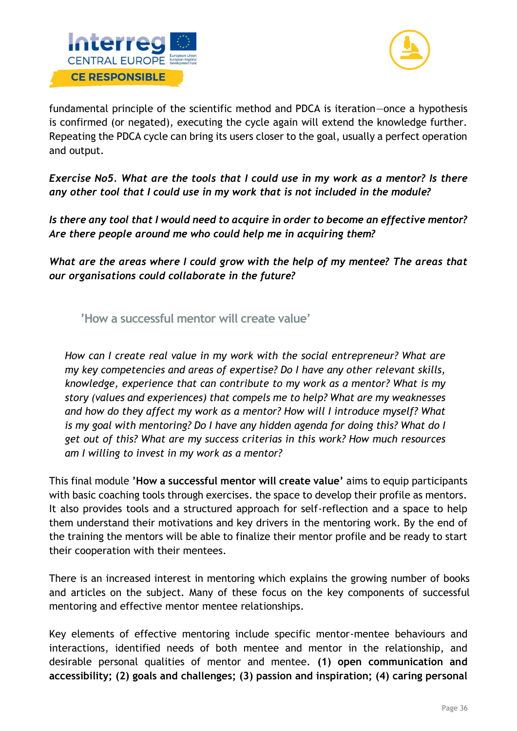



fundamental principle of the scientific method and PDCA is iteration—once a hypothesis is confirmed (or negated), executing the cycle again will extend the knowledge further. Repeating the PDCA cycle can bring its users closer to the goal, usually a perfect operation and output.

*Exercise No5. What are the tools that I could use in my work as a mentor? Is there any other tool that I could use in my work that is not included in the module?* 

*Is there any tool that I would need to acquire in order to become an effective mentor? Are there people around me who could help me in acquiring them?* 

*What are the areas where I could grow with the help of my mentee? The areas that our organisations could collaborate in the future?* 

<span id="page-36-0"></span>**'How a successful mentor will create value'**

*How can I create real value in my work with the social entrepreneur? What are my key competencies and areas of expertise? Do I have any other relevant skills, knowledge, experience that can contribute to my work as a mentor? What is my story (values and experiences) that compels me to help? What are my weaknesses and how do they affect my work as a mentor? How will I introduce myself? What is my goal with mentoring? Do I have any hidden agenda for doing this? What do I get out of this? What are my success criterias in this work? How much resources am I willing to invest in my work as a mentor?* 

This final module **'How a successful mentor will create value'** aims to equip participants with basic coaching tools through exercises. the space to develop their profile as mentors. It also provides tools and a structured approach for self-reflection and a space to help them understand their motivations and key drivers in the mentoring work. By the end of the training the mentors will be able to finalize their mentor profile and be ready to start their cooperation with their mentees.

There is an increased interest in mentoring which explains the growing number of books and articles on the subject. Many of these focus on the key components of successful mentoring and effective mentor mentee relationships.

Key elements of effective mentoring include specific mentor-mentee behaviours and interactions, identified needs of both mentee and mentor in the relationship, and desirable personal qualities of mentor and mentee. **(1) open communication and accessibility; (2) goals and challenges; (3) passion and inspiration; (4) caring personal**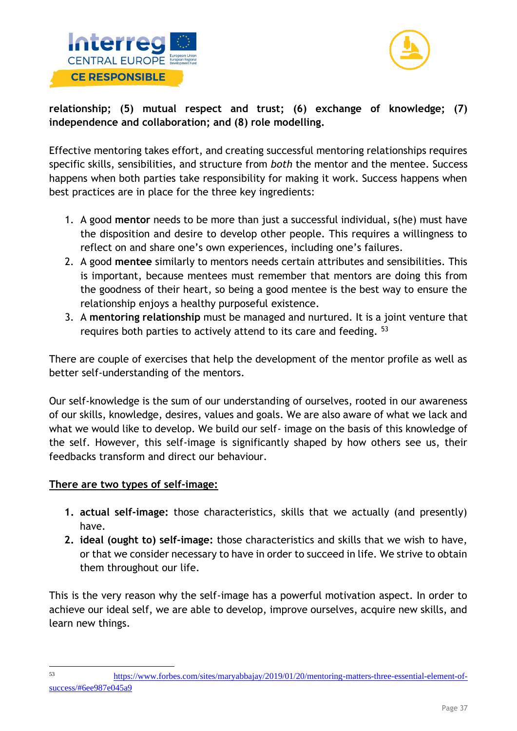



**relationship; (5) mutual respect and trust; (6) exchange of knowledge; (7) independence and collaboration; and (8) role modelling.** 

Effective mentoring takes effort, and creating successful mentoring relationships requires specific skills, sensibilities, and structure from *both* the mentor and the mentee. Success happens when both parties take responsibility for making it work. Success happens when best practices are in place for the three key ingredients:

- 1. A good **mentor** needs to be more than just a successful individual, s(he) must have the disposition and desire to develop other people. This requires a willingness to reflect on and share one's own experiences, including one's failures.
- 2. A good **mentee** similarly to mentors needs certain attributes and sensibilities. This is important, because mentees must remember that mentors are doing this from the goodness of their heart, so being a good mentee is the best way to ensure the relationship enjoys a healthy purposeful existence.
- 3. A **mentoring relationship** must be managed and nurtured. It is a joint venture that requires both parties to actively attend to its care and feeding. <sup>53</sup>

There are couple of exercises that help the development of the mentor profile as well as better self-understanding of the mentors.

Our self-knowledge is the sum of our understanding of ourselves, rooted in our awareness of our skills, knowledge, desires, values and goals. We are also aware of what we lack and what we would like to develop. We build our self- image on the basis of this knowledge of the self. However, this self-image is significantly shaped by how others see us, their feedbacks transform and direct our behaviour.

# **There are two types of self-image:**

- **1. actual self-image:** those characteristics, skills that we actually (and presently) have.
- **2. ideal (ought to) self-image:** those characteristics and skills that we wish to have, or that we consider necessary to have in order to succeed in life. We strive to obtain them throughout our life.

This is the very reason why the self-image has a powerful motivation aspect. In order to achieve our ideal self, we are able to develop, improve ourselves, acquire new skills, and learn new things.

<sup>53</sup> [https://www.forbes.com/sites/maryabbajay/2019/01/20/mentoring-matters-three-essential-element-of](https://www.forbes.com/sites/maryabbajay/2019/01/20/mentoring-matters-three-essential-element-of-success/#6ee987e045a9)[success/#6ee987e045a9](https://www.forbes.com/sites/maryabbajay/2019/01/20/mentoring-matters-three-essential-element-of-success/#6ee987e045a9)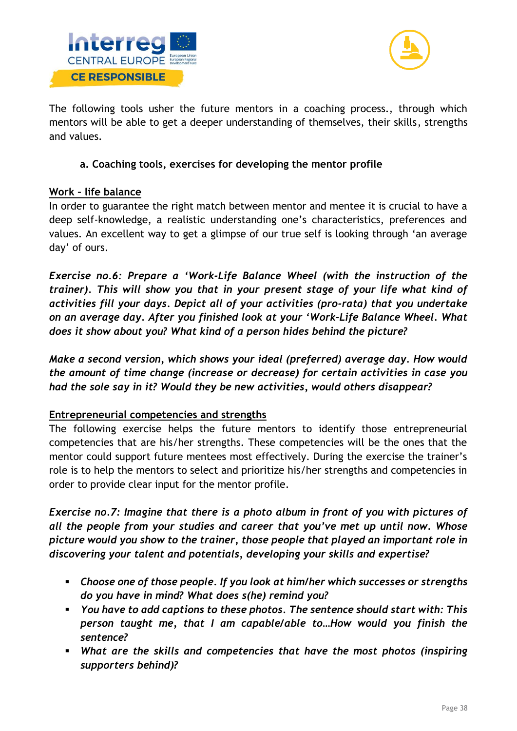



The following tools usher the future mentors in a coaching process., through which mentors will be able to get a deeper understanding of themselves, their skills, strengths and values.

# **a. Coaching tools, exercises for developing the mentor profile**

# **Work – life balance**

In order to guarantee the right match between mentor and mentee it is crucial to have a deep self-knowledge, a realistic understanding one's characteristics, preferences and values. An excellent way to get a glimpse of our true self is looking through 'an average day' of ours.

*Exercise no.6: Prepare a 'Work-Life Balance Wheel (with the instruction of the trainer). This will show you that in your present stage of your life what kind of activities fill your days. Depict all of your activities (pro-rata) that you undertake on an average day. After you finished look at your 'Work-Life Balance Wheel. What does it show about you? What kind of a person hides behind the picture?* 

*Make a second version, which shows your ideal (preferred) average day. How would the amount of time change (increase or decrease) for certain activities in case you had the sole say in it? Would they be new activities, would others disappear?* 

# **Entrepreneurial competencies and strengths**

The following exercise helps the future mentors to identify those entrepreneurial competencies that are his/her strengths. These competencies will be the ones that the mentor could support future mentees most effectively. During the exercise the trainer's role is to help the mentors to select and prioritize his/her strengths and competencies in order to provide clear input for the mentor profile.

*Exercise no.7: Imagine that there is a photo album in front of you with pictures of all the people from your studies and career that you've met up until now. Whose picture would you show to the trainer, those people that played an important role in discovering your talent and potentials, developing your skills and expertise?* 

- *Choose one of those people. If you look at him/her which successes or strengths do you have in mind? What does s(he) remind you?*
- *You have to add captions to these photos. The sentence should start with: This person taught me, that I am capable/able to…How would you finish the sentence?*
- *What are the skills and competencies that have the most photos (inspiring supporters behind)?*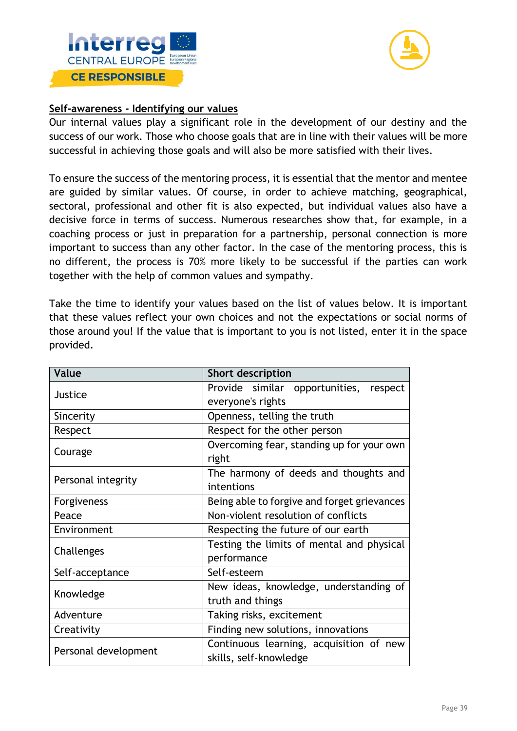



#### **Self-awareness - Identifying our values**

Our internal values play a significant role in the development of our destiny and the success of our work. Those who choose goals that are in line with their values will be more successful in achieving those goals and will also be more satisfied with their lives.

To ensure the success of the mentoring process, it is essential that the mentor and mentee are guided by similar values. Of course, in order to achieve matching, geographical, sectoral, professional and other fit is also expected, but individual values also have a decisive force in terms of success. Numerous researches show that, for example, in a coaching process or just in preparation for a partnership, personal connection is more important to success than any other factor. In the case of the mentoring process, this is no different, the process is 70% more likely to be successful if the parties can work together with the help of common values and sympathy.

Take the time to identify your values based on the list of values below. It is important that these values reflect your own choices and not the expectations or social norms of those around you! If the value that is important to you is not listed, enter it in the space provided.

| Value                | <b>Short description</b>                    |  |
|----------------------|---------------------------------------------|--|
| Justice              | Provide similar opportunities, respect      |  |
|                      | everyone's rights                           |  |
| Sincerity            | Openness, telling the truth                 |  |
| Respect              | Respect for the other person                |  |
| Courage              | Overcoming fear, standing up for your own   |  |
|                      | right                                       |  |
|                      | The harmony of deeds and thoughts and       |  |
| Personal integrity   | intentions                                  |  |
| Forgiveness          | Being able to forgive and forget grievances |  |
| Peace                | Non-violent resolution of conflicts         |  |
| Environment          | Respecting the future of our earth          |  |
| Challenges           | Testing the limits of mental and physical   |  |
|                      | performance                                 |  |
| Self-acceptance      | Self-esteem                                 |  |
| Knowledge            | New ideas, knowledge, understanding of      |  |
|                      | truth and things                            |  |
| Adventure            | Taking risks, excitement                    |  |
| Creativity           | Finding new solutions, innovations          |  |
| Personal development | Continuous learning, acquisition of new     |  |
|                      | skills, self-knowledge                      |  |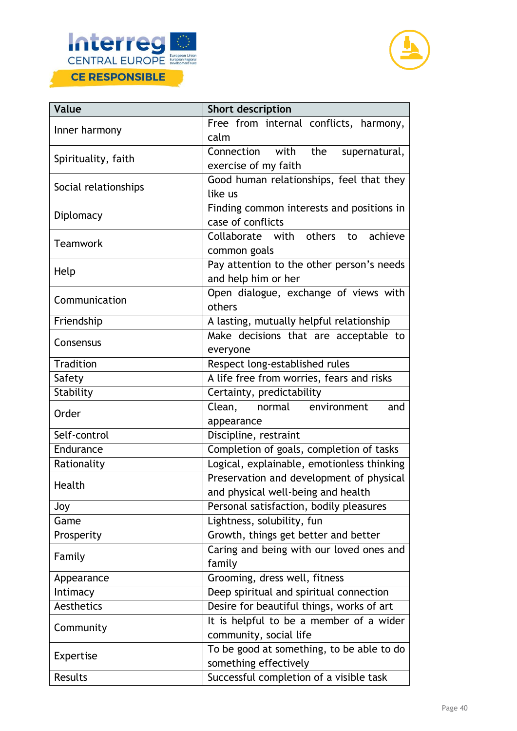



| Value                | Short description                                                              |  |
|----------------------|--------------------------------------------------------------------------------|--|
| Inner harmony        | Free from internal conflicts, harmony,<br>calm                                 |  |
| Spirituality, faith  | with<br>the<br>Connection<br>supernatural,<br>exercise of my faith             |  |
| Social relationships | Good human relationships, feel that they<br>like us                            |  |
| Diplomacy            | Finding common interests and positions in<br>case of conflicts                 |  |
| <b>Teamwork</b>      | Collaborate with others<br>achieve<br>to<br>common goals                       |  |
| Help                 | Pay attention to the other person's needs<br>and help him or her               |  |
| Communication        | Open dialogue, exchange of views with<br>others                                |  |
| Friendship           | A lasting, mutually helpful relationship                                       |  |
| Consensus            | Make decisions that are acceptable to<br>everyone                              |  |
| Tradition            | Respect long-established rules                                                 |  |
| Safety               | A life free from worries, fears and risks                                      |  |
| Stability            | Certainty, predictability                                                      |  |
| Order                | normal environment<br>Clean,<br>and<br>appearance                              |  |
| Self-control         | Discipline, restraint                                                          |  |
| Endurance            | Completion of goals, completion of tasks                                       |  |
| Rationality          | Logical, explainable, emotionless thinking                                     |  |
| Health               | Preservation and development of physical<br>and physical well-being and health |  |
| Joy                  | Personal satisfaction, bodily pleasures                                        |  |
| Game                 | Lightness, solubility, fun                                                     |  |
| Prosperity           | Growth, things get better and better                                           |  |
| Family               | Caring and being with our loved ones and<br>family                             |  |
| Appearance           | Grooming, dress well, fitness                                                  |  |
| Intimacy             | Deep spiritual and spiritual connection                                        |  |
| Aesthetics           | Desire for beautiful things, works of art                                      |  |
| Community            | It is helpful to be a member of a wider<br>community, social life              |  |
| Expertise            | To be good at something, to be able to do<br>something effectively             |  |
| Results              | Successful completion of a visible task                                        |  |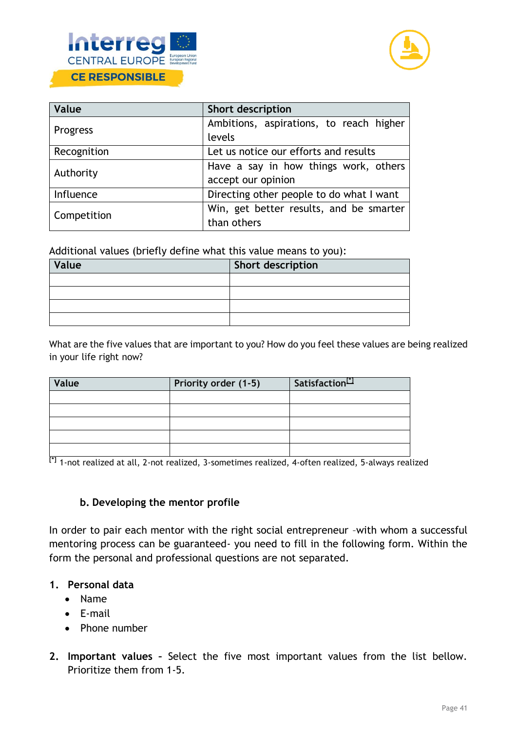



| Value       | Short description                        |  |
|-------------|------------------------------------------|--|
| Progress    | Ambitions, aspirations, to reach higher  |  |
|             | levels                                   |  |
| Recognition | Let us notice our efforts and results    |  |
| Authority   | Have a say in how things work, others    |  |
|             | accept our opinion                       |  |
| Influence   | Directing other people to do what I want |  |
| Competition | Win, get better results, and be smarter  |  |
|             | than others                              |  |

Additional values (briefly define what this value means to you):

| Value | <b>Short description</b> |
|-------|--------------------------|
|       |                          |
|       |                          |
|       |                          |
|       |                          |

What are the five values that are important to you? How do you feel these values are being realized in your life right now?

| Value | Priority order (1-5) | <b>Satisfaction</b> |
|-------|----------------------|---------------------|
|       |                      |                     |
|       |                      |                     |
|       |                      |                     |
|       |                      |                     |
|       |                      |                     |

**[\*]** 1-not realized at all, 2-not realized, 3-sometimes realized, 4-often realized, 5-always realized

#### **b. Developing the mentor profile**

In order to pair each mentor with the right social entrepreneur -with whom a successful mentoring process can be guaranteed- you need to fill in the following form. Within the form the personal and professional questions are not separated.

#### **1. Personal data**

- Name
- E-mail
- Phone number
- **2. Important values –** Select the five most important values from the list bellow. Prioritize them from 1-5.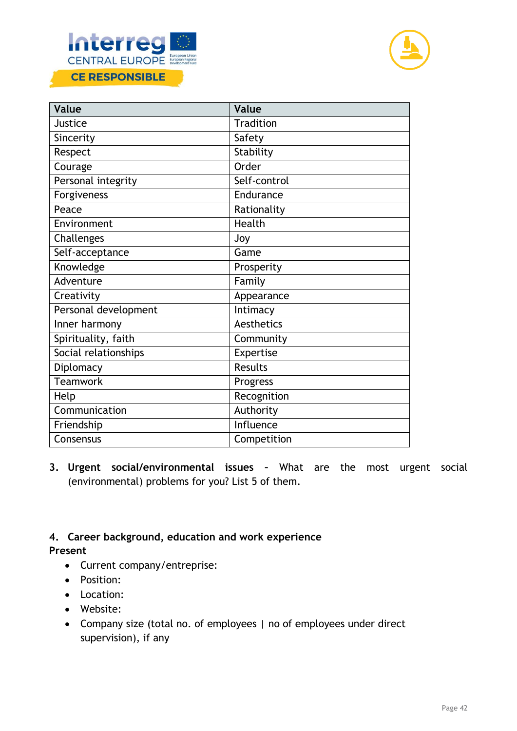



| Value                | Value            |
|----------------------|------------------|
| Justice              | <b>Tradition</b> |
| Sincerity            | Safety           |
| Respect              | Stability        |
| Courage              | Order            |
| Personal integrity   | Self-control     |
| Forgiveness          | Endurance        |
| Peace                | Rationality      |
| Environment          | Health           |
| Challenges           | Joy              |
| Self-acceptance      | Game             |
| Knowledge            | Prosperity       |
| Adventure            | Family           |
| Creativity           | Appearance       |
| Personal development | Intimacy         |
| Inner harmony        | Aesthetics       |
| Spirituality, faith  | Community        |
| Social relationships | Expertise        |
| Diplomacy            | <b>Results</b>   |
| <b>Teamwork</b>      | Progress         |
| Help                 | Recognition      |
| Communication        | Authority        |
| Friendship           | <b>Influence</b> |
| Consensus            | Competition      |

**3. Urgent social/environmental issues –** What are the most urgent social (environmental) problems for you? List 5 of them.

# **4. Career background, education and work experience**

# **Present**

- Current company/entreprise:
- Position:
- Location:
- Website:
- Company size (total no. of employees | no of employees under direct supervision), if any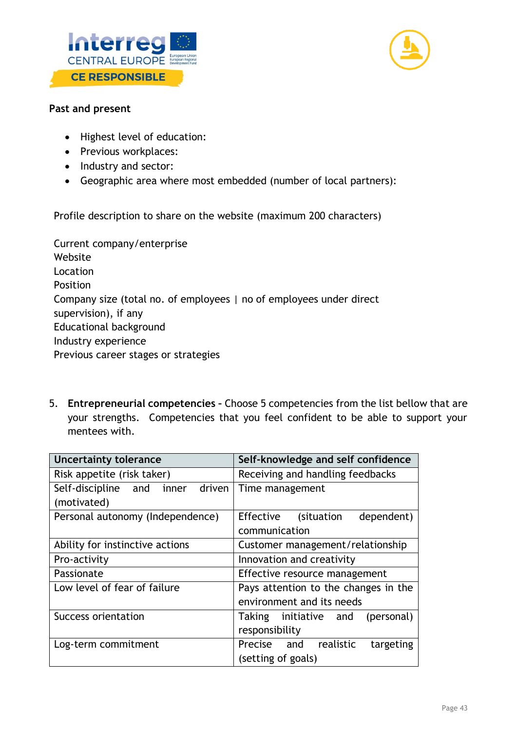



#### **Past and present**

- Highest level of education:
- Previous workplaces:
- Industry and sector:
- Geographic area where most embedded (number of local partners):

Profile description to share on the website (maximum 200 characters)

Current company/enterprise Website Location Position Company size (total no. of employees | no of employees under direct supervision), if any Educational background Industry experience Previous career stages or strategies

5. **Entrepreneurial competencies –** Choose 5 competencies from the list bellow that are your strengths. Competencies that you feel confident to be able to support your mentees with.

| <b>Uncertainty tolerance</b>     | Self-knowledge and self confidence   |
|----------------------------------|--------------------------------------|
| Risk appetite (risk taker)       | Receiving and handling feedbacks     |
| Self-discipline and inner driven | Time management                      |
| (motivated)                      |                                      |
| Personal autonomy (Independence) | Effective (situation<br>dependent)   |
|                                  | communication                        |
| Ability for instinctive actions  | Customer management/relationship     |
| Pro-activity                     | Innovation and creativity            |
| Passionate                       | Effective resource management        |
| Low level of fear of failure     | Pays attention to the changes in the |
|                                  | environment and its needs            |
| Success orientation              | Taking initiative and<br>(personal)  |
|                                  | responsibility                       |
| Log-term commitment              | Precise and realistic<br>targeting   |
|                                  | (setting of goals)                   |